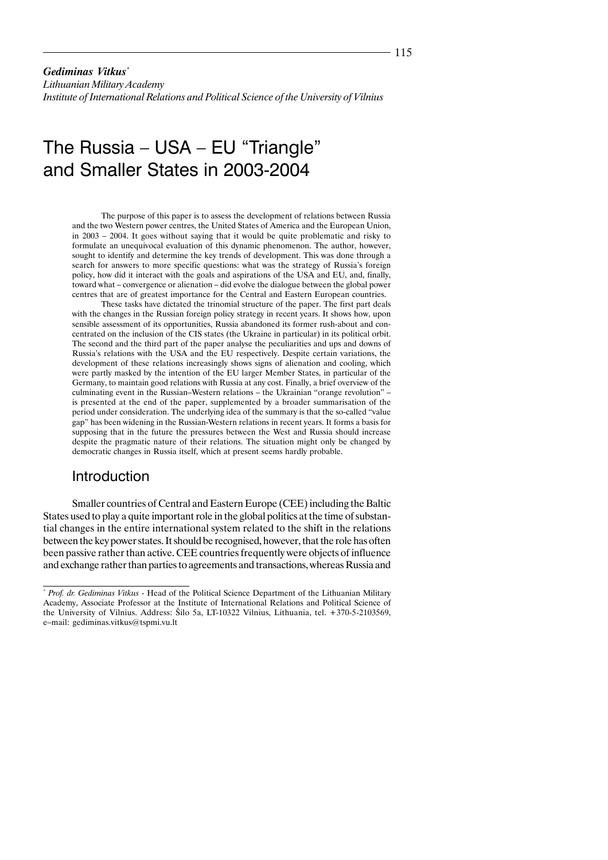*Gediminas Vitkus*\*

*Lithuanian Military Academy Institute of International Relations and Political Science of the University of Vilnius*

# The Russia – USA – EU "Triangle" and Smaller States in 2003-2004

The purpose of this paper is to assess the development of relations between Russia and the two Western power centres, the United States of America and the European Union, in 2003 – 2004. It goes without saying that it would be quite problematic and risky to formulate an unequivocal evaluation of this dynamic phenomenon. The author, however, sought to identify and determine the key trends of development. This was done through a search for answers to more specific questions: what was the strategy of Russia's foreign policy, how did it interact with the goals and aspirations of the USA and EU, and, finally, toward what – convergence or alienation – did evolve the dialogue between the global power centres that are of greatest importance for the Central and Eastern European countries.

These tasks have dictated the trinomial structure of the paper. The first part deals with the changes in the Russian foreign policy strategy in recent years. It shows how, upon sensible assessment of its opportunities, Russia abandoned its former rush-about and concentrated on the inclusion of the CIS states (the Ukraine in particular) in its political orbit. The second and the third part of the paper analyse the peculiarities and ups and downs of Russia's relations with the USA and the EU respectively. Despite certain variations, the development of these relations increasingly shows signs of alienation and cooling, which were partly masked by the intention of the EU larger Member States, in particular of the Germany, to maintain good relations with Russia at any cost. Finally, a brief overview of the culminating event in the Russian–Western relations – the Ukrainian "orange revolution" – is presented at the end of the paper, supplemented by a broader summarisation of the period under consideration. The underlying idea of the summary is that the so-called "value gap" has been widening in the Russian-Western relations in recent years. It forms a basis for supposing that in the future the pressures between the West and Russia should increase despite the pragmatic nature of their relations. The situation might only be changed by democratic changes in Russia itself, which at present seems hardly probable.

#### Introduction

Smaller countries of Central and Eastern Europe (CEE) including the Baltic States used to play a quite important role in the global politics at the time of substantial changes in the entire international system related to the shift in the relations between the key power states. It should be recognised, however, that the role has often been passive rather than active. CEE countries frequently were objects of influence and exchange rather than parties to agreements and transactions, whereas Russia and

<sup>\*</sup>  *Prof. dr. Gediminas Vitkus* - Head of the Political Science Department of the Lithuanian Military Academy, Associate Professor at the Institute of International Relations and Political Science of the University of Vilnius. Address: Ðilo 5a, LT-10322 Vilnius, Lithuania, tel. +370-5-2103569, e–mail: gediminas.vitkus@tspmi.vu.lt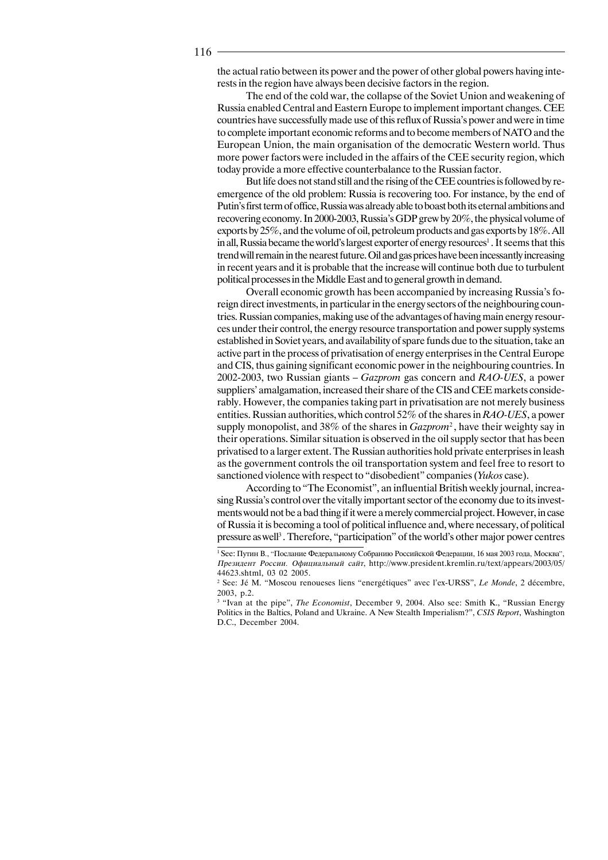the actual ratio between its power and the power of other global powers having interests in the region have always been decisive factors in the region.

The end of the cold war, the collapse of the Soviet Union and weakening of Russia enabled Central and Eastern Europe to implement important changes. CEE countries have successfully made use of this reflux of Russia's power and were in time to complete important economic reforms and to become members of NATO and the European Union, the main organisation of the democratic Western world. Thus more power factors were included in the affairs of the CEE security region, which today provide a more effective counterbalance to the Russian factor.

But life does not stand still and the rising of the CEE countries is followed by reemergence of the old problem: Russia is recovering too. For instance, by the end of Putin's first term of office, Russia was already able to boast both its eternal ambitions and recovering economy. In 2000-2003, Russia's GDP grew by 20%, the physical volume of exports by 25%, and the volume of oil, petroleum products and gas exports by 18%. All in all, Russia became the world's largest exporter of energy resources<sup>1</sup>. It seems that this trend will remain in the nearest future. Oil and gas prices have been incessantly increasing in recent years and it is probable that the increase will continue both due to turbulent political processes in the Middle East and to general growth in demand.

Overall economic growth has been accompanied by increasing Russia's foreign direct investments, in particular in the energy sectors of the neighbouring countries. Russian companies, making use of the advantages of having main energy resources under their control, the energy resource transportation and power supply systems established in Soviet years, and availability of spare funds due to the situation, take an active part in the process of privatisation of energy enterprises in the Central Europe and CIS, thus gaining significant economic power in the neighbouring countries. In 2002-2003, two Russian giants – *Gazprom* gas concern and *RAO-UES*, a power suppliers' amalgamation, increased their share of the CIS and CEE markets considerably. However, the companies taking part in privatisation are not merely business entities. Russian authorities, which control 52% of the shares in *RAO-UES*, a power supply monopolist, and 38% of the shares in *Gazprom*<sup>2</sup> , have their weighty say in their operations. Similar situation is observed in the oil supply sector that has been privatised to a larger extent. The Russian authorities hold private enterprises in leash as the government controls the oil transportation system and feel free to resort to sanctioned violence with respect to "disobedient" companies (*Yukos* case).

According to "The Economist", an influential British weekly journal, increasing Russia's control over the vitally important sector of the economy due to its investments would not be a bad thing if it were a merely commercial project. However, in case of Russia it is becoming a tool of political influence and, where necessary, of political pressure as well<sup>3</sup>. Therefore, "participation" of the world's other major power centres

<sup>&</sup>lt;sup>1</sup> See: Путин В., "Послание Федеральному Собранию Российской Федерации, 16 мая 2003 года, Москва", Президент России. Официальный сайт, http://www.president.kremlin.ru/text/appears/2003/05/ 44623.shtml, 03 02 2005.

<sup>2</sup> See: Jé M. "Moscou renoueses liens "energétiques" avec l'ex-URSS", *Le Monde*, 2 décembre, 2003, p.2.

<sup>&</sup>lt;sup>3</sup> "Ivan at the pipe", *The Economist*, December 9, 2004. Also see: Smith K., "Russian Energy Politics in the Baltics, Poland and Ukraine. A New Stealth Imperialism?", *CSIS Report*, Washington D.C., December 2004.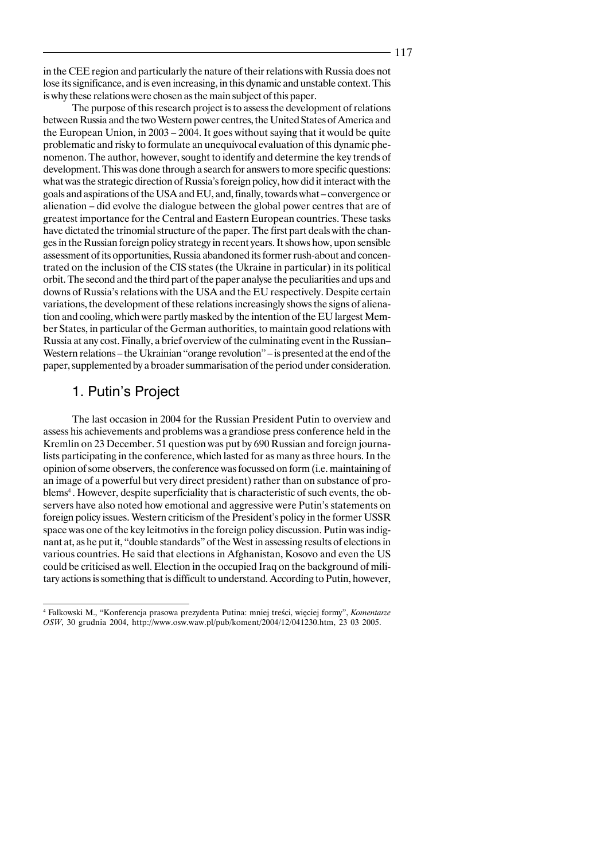in the CEE region and particularly the nature of their relations with Russia does not lose its significance, and is even increasing, in this dynamic and unstable context. This is why these relations were chosen as the main subject of this paper.

The purpose of this research project is to assess the development of relations between Russia and the two Western power centres, the United States of America and the European Union, in 2003 – 2004. It goes without saying that it would be quite problematic and risky to formulate an unequivocal evaluation of this dynamic phenomenon. The author, however, sought to identify and determine the key trends of development. This was done through a search for answers to more specific questions: what was the strategic direction of Russia's foreign policy, how did it interact with the goals and aspirations of the USA and EU, and, finally, towards what – convergence or alienation – did evolve the dialogue between the global power centres that are of greatest importance for the Central and Eastern European countries. These tasks have dictated the trinomial structure of the paper. The first part deals with the changes in the Russian foreign policy strategy in recent years. It shows how, upon sensible assessment of its opportunities, Russia abandoned its former rush-about and concentrated on the inclusion of the CIS states (the Ukraine in particular) in its political orbit. The second and the third part of the paper analyse the peculiarities and ups and downs of Russia's relations with the USA and the EU respectively. Despite certain variations, the development of these relations increasingly shows the signs of alienation and cooling, which were partly masked by the intention of the EU largest Member States, in particular of the German authorities, to maintain good relations with Russia at any cost. Finally, a brief overview of the culminating event in the Russian– Western relations – the Ukrainian "orange revolution" – is presented at the end of the paper, supplemented by a broader summarisation of the period under consideration.

## 1. Putin's Project

The last occasion in 2004 for the Russian President Putin to overview and assess his achievements and problems was a grandiose press conference held in the Kremlin on 23 December. 51 question was put by 690 Russian and foreign journalists participating in the conference, which lasted for as many as three hours. In the opinion of some observers, the conference was focussed on form (i.e. maintaining of an image of a powerful but very direct president) rather than on substance of problems<sup>4</sup>. However, despite superficiality that is characteristic of such events, the observers have also noted how emotional and aggressive were Putin's statements on foreign policy issues. Western criticism of the President's policy in the former USSR space was one of the key leitmotivs in the foreign policy discussion. Putin was indignant at, as he put it, "double standards" of the West in assessing results of elections in various countries. He said that elections in Afghanistan, Kosovo and even the US could be criticised as well. Election in the occupied Iraq on the background of military actions is something that is difficult to understand. According to Putin, however,

<sup>4</sup> Falkowski M., "Konferencja prasowa prezydenta Putina: mniej treúci, wiæciej formy", *Komentarze OSW*, 30 grudnia 2004, http://www.osw.waw.pl/pub/koment/2004/12/041230.htm, 23 03 2005.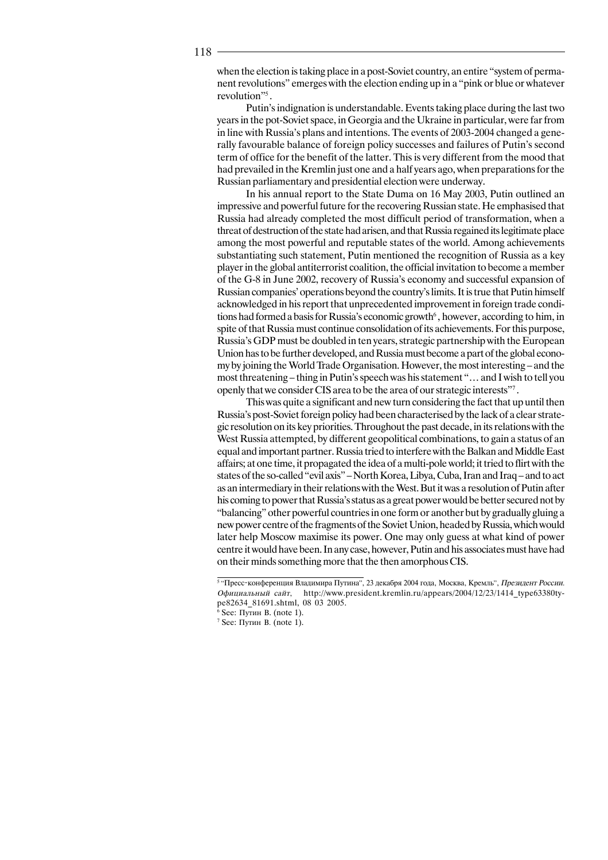when the election is taking place in a post-Soviet country, an entire "system of permanent revolutions" emerges with the election ending up in a "pink or blue or whatever revolution"<sup>5</sup>.

Putin's indignation is understandable. Events taking place during the last two years in the pot-Soviet space, in Georgia and the Ukraine in particular, were far from in line with Russia's plans and intentions. The events of 2003-2004 changed a generally favourable balance of foreign policy successes and failures of Putin's second term of office for the benefit of the latter. This is very different from the mood that had prevailed in the Kremlin just one and a half years ago, when preparations for the Russian parliamentary and presidential election were underway.

In his annual report to the State Duma on 16 May 2003, Putin outlined an impressive and powerful future for the recovering Russian state. He emphasised that Russia had already completed the most difficult period of transformation, when a threat of destruction of the state had arisen, and that Russia regained its legitimate place among the most powerful and reputable states of the world. Among achievements substantiating such statement, Putin mentioned the recognition of Russia as a key player in the global antiterrorist coalition, the official invitation to become a member of the G-8 in June 2002, recovery of Russia's economy and successful expansion of Russian companies' operations beyond the country's limits. It is true that Putin himself acknowledged in his report that unprecedented improvement in foreign trade conditions had formed a basis for Russia's economic growth<sup> $6$ </sup>, however, according to him, in spite of that Russia must continue consolidation of its achievements. For this purpose, Russia's GDP must be doubled in ten years, strategic partnership with the European Union has to be further developed, and Russia must become a part of the global economy by joining the World Trade Organisation. However, the most interesting – and the most threatening – thing in Putin's speech was his statement "… and I wish to tell you openly that we consider CIS area to be the area of our strategic interests"7 .

This was quite a significant and new turn considering the fact that up until then Russia's post-Soviet foreign policy had been characterised by the lack of a clear strategic resolution on its key priorities. Throughout the past decade, in its relations with the West Russia attempted, by different geopolitical combinations, to gain a status of an equal and important partner. Russia tried to interfere with the Balkan and Middle East affairs; at one time, it propagated the idea of a multi-pole world; it tried to flirt with the states of the so-called "evil axis" – North Korea, Libya, Cuba, Iran and Iraq – and to act as an intermediary in their relations with the West. But it was a resolution of Putin after his coming to power that Russia's status as a great power would be better secured not by "balancing" other powerful countries in one form or another but by gradually gluing a new power centre of the fragments of the Soviet Union, headed by Russia, which would later help Moscow maximise its power. One may only guess at what kind of power centre it would have been. In any case, however, Putin and his associates must have had on their minds something more that the then amorphous CIS.

<sup>&</sup>lt;sup>5 "</sup>Пресс-конференция Владимира Путина", 23 декабря 2004 года, Москва, Кремль", *Президент России.* Официальный сайт, http://www.president.kremlin.ru/appears/2004/12/23/1414\_type63380type82634\_81691.shtml, 08 03 2005.

 $6$  See: Путин В. (note 1).

 $7$  See: Путин В. (note 1).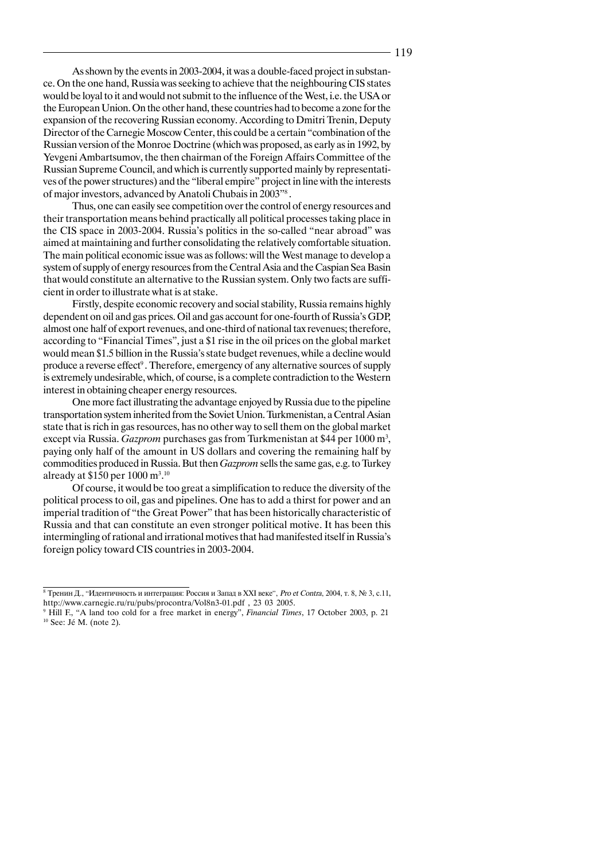As shown by the events in 2003-2004, it was a double-faced project in substance. On the one hand, Russia was seeking to achieve that the neighbouring CIS states would be loyal to it and would not submit to the influence of the West, i.e. the USA or the European Union. On the other hand, these countries had to become a zone for the expansion of the recovering Russian economy. According to Dmitri Trenin, Deputy Director of the Carnegie Moscow Center, this could be a certain "combination of the Russian version of the Monroe Doctrine (which was proposed, as early as in 1992, by Yevgeni Ambartsumov, the then chairman of the Foreign Affairs Committee of the Russian Supreme Council, and which is currently supported mainly by representatives of the power structures) and the "liberal empire" project in line with the interests of major investors, advanced by Anatoli Chubais in 2003"8 .

Thus, one can easily see competition over the control of energy resources and their transportation means behind practically all political processes taking place in the CIS space in 2003-2004. Russia's politics in the so-called "near abroad" was aimed at maintaining and further consolidating the relatively comfortable situation. The main political economic issue was as follows: will the West manage to develop a system of supply of energy resources from the Central Asia and the Caspian Sea Basin that would constitute an alternative to the Russian system. Only two facts are sufficient in order to illustrate what is at stake.

Firstly, despite economic recovery and social stability, Russia remains highly dependent on oil and gas prices. Oil and gas account for one-fourth of Russia's GDP, almost one half of export revenues, and one-third of national tax revenues; therefore, according to "Financial Times", just a \$1 rise in the oil prices on the global market would mean \$1.5 billion in the Russia's state budget revenues, while a decline would produce a reverse effect<sup>9</sup>. Therefore, emergency of any alternative sources of supply is extremely undesirable, which, of course, is a complete contradiction to the Western interest in obtaining cheaper energy resources.

One more fact illustrating the advantage enjoyed by Russia due to the pipeline transportation system inherited from the Soviet Union. Turkmenistan, a Central Asian state that is rich in gas resources, has no other way to sell them on the global market except via Russia. *Gazprom* purchases gas from Turkmenistan at \$44 per 1000 m3 , paying only half of the amount in US dollars and covering the remaining half by commodities produced in Russia. But then *Gazprom* sells the same gas, e.g. to Turkey already at \$150 per  $1000 \text{ m}^3$ .<sup>10</sup>

Of course, it would be too great a simplification to reduce the diversity of the political process to oil, gas and pipelines. One has to add a thirst for power and an imperial tradition of "the Great Power" that has been historically characteristic of Russia and that can constitute an even stronger political motive. It has been this intermingling of rational and irrational motives that had manifested itself in Russia's foreign policy toward CIS countries in 2003-2004.

<sup>&</sup>lt;sup>8</sup> Тренин Д., "Идентичность и интеграция: Россия и Запад в XXI веке", Pro et Contra, 2004, т. 8, № 3, с.11, http://www.carnegie.ru/ru/pubs/procontra/Vol8n3-01.pdf , 23 03 2005.

<sup>9</sup> Hill F., "A land too cold for a free market in energy", *Financial Times*, 17 October 2003, p. 21 10 See: Jé M. (note 2).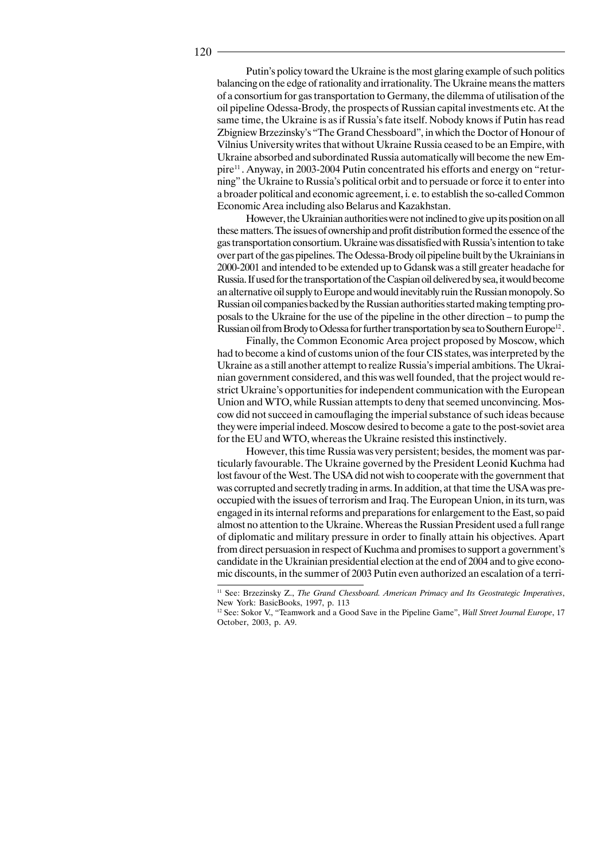Putin's policy toward the Ukraine is the most glaring example of such politics balancing on the edge of rationality and irrationality. The Ukraine means the matters of a consortium for gas transportation to Germany, the dilemma of utilisation of the oil pipeline Odessa-Brody, the prospects of Russian capital investments etc. At the same time, the Ukraine is as if Russia's fate itself. Nobody knows if Putin has read Zbigniew Brzezinsky's "The Grand Chessboard", in which the Doctor of Honour of Vilnius University writes that without Ukraine Russia ceased to be an Empire, with Ukraine absorbed and subordinated Russia automatically will become the new Empire11 . Anyway, in 2003-2004 Putin concentrated his efforts and energy on "returning" the Ukraine to Russia's political orbit and to persuade or force it to enter into a broader political and economic agreement, i. e. to establish the so-called Common Economic Area including also Belarus and Kazakhstan.

However, the Ukrainian authorities were not inclined to give up its position on all these matters. The issues of ownership and profit distribution formed the essence of the gas transportation consortium. Ukraine was dissatisfied with Russia's intention to take over part of the gas pipelines. The Odessa-Brody oil pipeline built by the Ukrainians in 2000-2001 and intended to be extended up to Gdansk was a still greater headache for Russia. If used for the transportation of the Caspian oil delivered by sea, it would become an alternative oil supply to Europe and would inevitably ruin the Russian monopoly. So Russian oil companies backed by the Russian authorities started making tempting proposals to the Ukraine for the use of the pipeline in the other direction – to pump the Russian oil from Brody to Odessa for further transportation by sea to Southern Europe<sup>12</sup>.

Finally, the Common Economic Area project proposed by Moscow, which had to become a kind of customs union of the four CIS states, was interpreted by the Ukraine as a still another attempt to realize Russia's imperial ambitions. The Ukrainian government considered, and this was well founded, that the project would restrict Ukraine's opportunities for independent communication with the European Union and WTO, while Russian attempts to deny that seemed unconvincing. Moscow did not succeed in camouflaging the imperial substance of such ideas because they were imperial indeed. Moscow desired to become a gate to the post-soviet area for the EU and WTO, whereas the Ukraine resisted this instinctively.

However, this time Russia was very persistent; besides, the moment was particularly favourable. The Ukraine governed by the President Leonid Kuchma had lost favour of the West. The USA did not wish to cooperate with the government that was corrupted and secretly trading in arms. In addition, at that time the USA was preoccupied with the issues of terrorism and Iraq. The European Union, in its turn, was engaged in its internal reforms and preparations for enlargement to the East, so paid almost no attention to the Ukraine. Whereas the Russian President used a full range of diplomatic and military pressure in order to finally attain his objectives. Apart from direct persuasion in respect of Kuchma and promises to support a government's candidate in the Ukrainian presidential election at the end of 2004 and to give economic discounts, in the summer of 2003 Putin even authorized an escalation of a terri-

<sup>11</sup> See: Brzezinsky Z., *The Grand Chessboard. American Primacy and Its Geostrategic Imperatives*, New York: BasicBooks, 1997, p. 113

<sup>12</sup> See: Sokor V., "Teamwork and a Good Save in the Pipeline Game", *Wall Street Journal Europe*, 17 October, 2003, p. A9.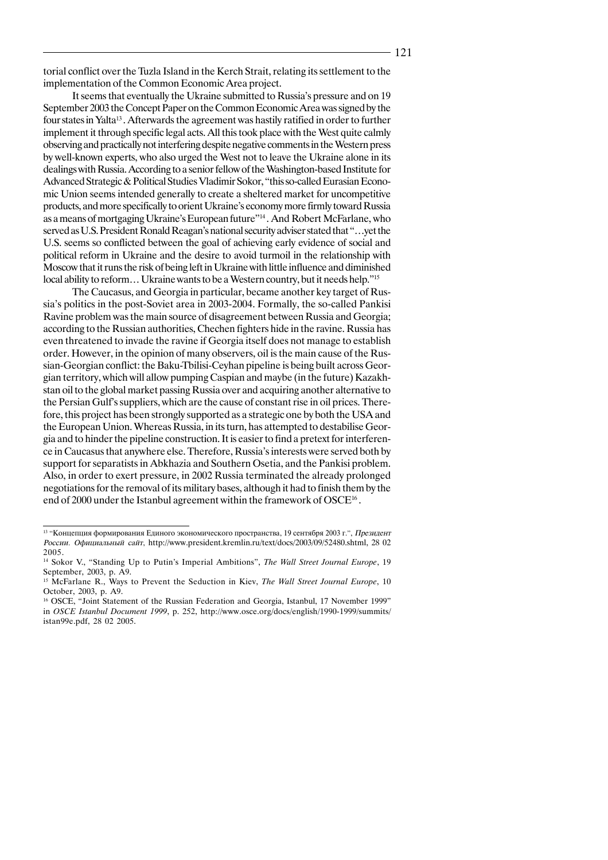torial conflict over the Tuzla Island in the Kerch Strait, relating its settlement to the implementation of the Common Economic Area project.

It seems that eventually the Ukraine submitted to Russia's pressure and on 19 September 2003 the Concept Paper on the Common Economic Area was signed by the four states in Yalta13 . Afterwards the agreement was hastily ratified in order to further implement it through specific legal acts. All this took place with the West quite calmly observing and practically not interfering despite negative comments in the Western press by well-known experts, who also urged the West not to leave the Ukraine alone in its dealings with Russia. According to a senior fellow of the Washington-based Institute for Advanced Strategic & Political Studies Vladimir Sokor, "this so-called Eurasian Economic Union seems intended generally to create a sheltered market for uncompetitive products, and more specifically to orient Ukraine's economy more firmly toward Russia as a means of mortgaging Ukraine's European future"14 . And Robert McFarlane, who served as U.S. President Ronald Reagan's national security adviser stated that "…yet the U.S. seems so conflicted between the goal of achieving early evidence of social and political reform in Ukraine and the desire to avoid turmoil in the relationship with Moscow that it runs the risk of being left in Ukraine with little influence and diminished local ability to reform... Ukraine wants to be a Western country, but it needs help."<sup>15</sup>

The Caucasus, and Georgia in particular, became another key target of Russia's politics in the post-Soviet area in 2003-2004. Formally, the so-called Pankisi Ravine problem was the main source of disagreement between Russia and Georgia; according to the Russian authorities, Chechen fighters hide in the ravine. Russia has even threatened to invade the ravine if Georgia itself does not manage to establish order. However, in the opinion of many observers, oil is the main cause of the Russian-Georgian conflict: the Baku-Tbilisi-Ceyhan pipeline is being built across Georgian territory, which will allow pumping Caspian and maybe (in the future) Kazakhstan oil to the global market passing Russia over and acquiring another alternative to the Persian Gulf's suppliers, which are the cause of constant rise in oil prices. Therefore, this project has been strongly supported as a strategic one by both the USA and the European Union. Whereas Russia, in its turn, has attempted to destabilise Georgia and to hinder the pipeline construction. It is easier to find a pretext for interference in Caucasus that anywhere else. Therefore, Russia's interests were served both by support for separatists in Abkhazia and Southern Osetia, and the Pankisi problem. Also, in order to exert pressure, in 2002 Russia terminated the already prolonged negotiations for the removal of its military bases, although it had to finish them by the end of 2000 under the Istanbul agreement within the framework of OSCE16 .

<sup>&</sup>lt;sup>13</sup> "Концепция формирования Единого экономического пространства, 19 сентября 2003 г.", *Президент* России. Официальный сайт, http://www.president.kremlin.ru/text/docs/2003/09/52480.shtml, 28 02 2005.

<sup>14</sup> Sokor V., "Standing Up to Putin's Imperial Ambitions", *The Wall Street Journal Europe*, 19 September, 2003, p. A9.

<sup>15</sup> McFarlane R., Ways to Prevent the Seduction in Kiev, *The Wall Street Journal Europe*, 10 October, 2003, p. A9.

<sup>&</sup>lt;sup>16</sup> OSCE, "Joint Statement of the Russian Federation and Georgia, Istanbul, 17 November 1999" in *OSCE Istanbul Document 1999*, p. 252, http://www.osce.org/docs/english/1990-1999/summits/ istan99e.pdf, 28 02 2005.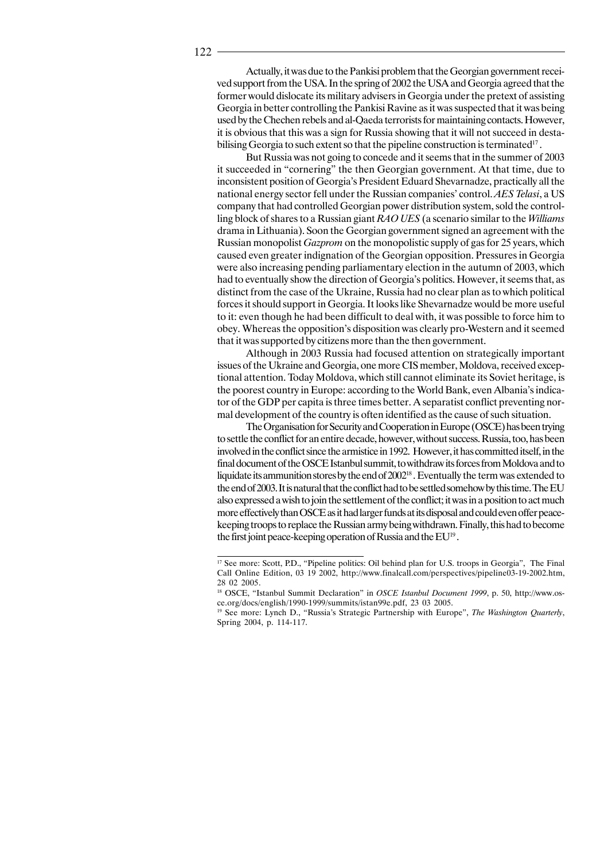Actually, it was due to the Pankisi problem that the Georgian government received support from the USA. In the spring of 2002 the USA and Georgia agreed that the former would dislocate its military advisers in Georgia under the pretext of assisting Georgia in better controlling the Pankisi Ravine as it was suspected that it was being used by the Chechen rebels and al-Qaeda terrorists for maintaining contacts. However, it is obvious that this was a sign for Russia showing that it will not succeed in destabilising Georgia to such extent so that the pipeline construction is terminated<sup>17</sup>.

But Russia was not going to concede and it seems that in the summer of 2003 it succeeded in "cornering" the then Georgian government. At that time, due to inconsistent position of Georgia's President Eduard Shevarnadze, practically all the national energy sector fell under the Russian companies' control. *AES Telasi*, a US company that had controlled Georgian power distribution system, sold the controlling block of shares to a Russian giant *RAO UES* (a scenario similar to the *Williams* drama in Lithuania). Soon the Georgian government signed an agreement with the Russian monopolist *Gazprom* on the monopolistic supply of gas for 25 years, which caused even greater indignation of the Georgian opposition. Pressures in Georgia were also increasing pending parliamentary election in the autumn of 2003, which had to eventually show the direction of Georgia's politics. However, it seems that, as distinct from the case of the Ukraine, Russia had no clear plan as to which political forces it should support in Georgia. It looks like Shevarnadze would be more useful to it: even though he had been difficult to deal with, it was possible to force him to obey. Whereas the opposition's disposition was clearly pro-Western and it seemed that it was supported by citizens more than the then government.

Although in 2003 Russia had focused attention on strategically important issues of the Ukraine and Georgia, one more CIS member, Moldova, received exceptional attention. Today Moldova, which still cannot eliminate its Soviet heritage, is the poorest country in Europe: according to the World Bank, even Albania's indicator of the GDP per capita is three times better. A separatist conflict preventing normal development of the country is often identified as the cause of such situation.

The Organisation for Security and Cooperation in Europe (OSCE) has been trying to settle the conflict for an entire decade, however, without success. Russia, too, has been involved in the conflict since the armistice in 1992. However, it has committed itself, in the final document of the OSCE Istanbul summit, to withdraw its forces from Moldova and to liquidate its ammunition stores by the end of 200218 . Eventually the term was extended to the end of 2003. It is natural that the conflict had to be settled somehow by this time. The EU also expressed a wish to join the settlement of the conflict; it was in a position to act much more effectively than OSCE as it had larger funds at its disposal and could even offer peacekeeping troops to replace the Russian army being withdrawn. Finally, this had to become the first joint peace-keeping operation of Russia and the EU<sup>19</sup>.

<sup>&</sup>lt;sup>17</sup> See more: Scott, P.D., "Pipeline politics: Oil behind plan for U.S. troops in Georgia", The Final Call Online Edition, 03 19 2002, http://www.finalcall.com/perspectives/pipeline03-19-2002.htm, 28 02 2005.

<sup>&</sup>lt;sup>18</sup> OSCE, "Istanbul Summit Declaration" in *OSCE Istanbul Document 1999*, p. 50, http://www.osce.org/docs/english/1990-1999/summits/istan99e.pdf, 23 03 2005.

<sup>&</sup>lt;sup>19</sup> See more: Lynch D., "Russia's Strategic Partnership with Europe", *The Washington Quarterly*, Spring 2004, p. 114-117.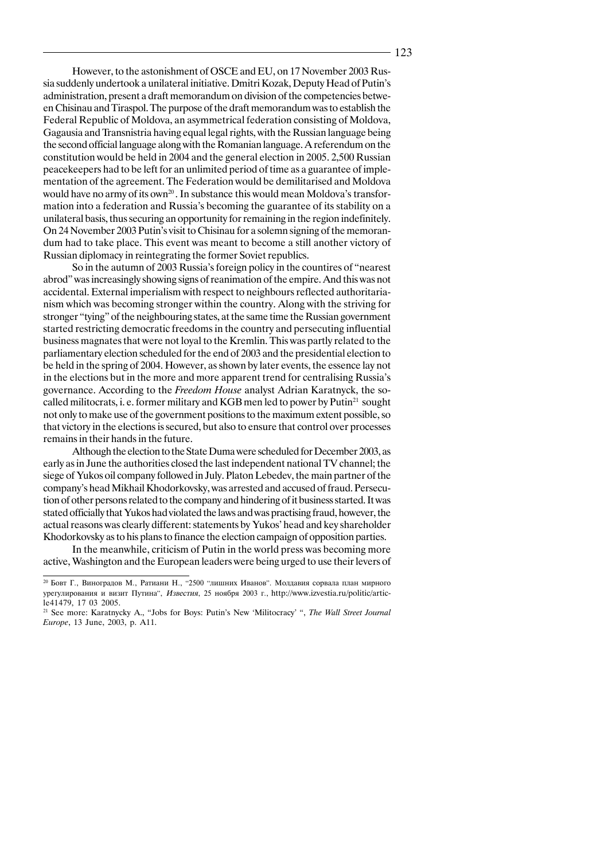However, to the astonishment of OSCE and EU, on 17 November 2003 Russia suddenly undertook a unilateral initiative. Dmitri Kozak, Deputy Head of Putin's administration, present a draft memorandum on division of the competencies between Chisinau and Tiraspol. The purpose of the draft memorandum was to establish the Federal Republic of Moldova, an asymmetrical federation consisting of Moldova, Gagausia and Transnistria having equal legal rights, with the Russian language being the second official language along with the Romanian language. A referendum on the constitution would be held in 2004 and the general election in 2005. 2,500 Russian peacekeepers had to be left for an unlimited period of time as a guarantee of implementation of the agreement. The Federation would be demilitarised and Moldova would have no army of its own<sup>20</sup>. In substance this would mean Moldova's transformation into a federation and Russia's becoming the guarantee of its stability on a unilateral basis, thus securing an opportunity for remaining in the region indefinitely. On 24 November 2003 Putin's visit to Chisinau for a solemn signing of the memorandum had to take place. This event was meant to become a still another victory of Russian diplomacy in reintegrating the former Soviet republics.

So in the autumn of 2003 Russia's foreign policy in the countires of "nearest abrod" was increasingly showing signs of reanimation of the empire. And this was not accidental. External imperialism with respect to neighbours reflected authoritarianism which was becoming stronger within the country. Along with the striving for stronger "tying" of the neighbouring states, at the same time the Russian government started restricting democratic freedoms in the country and persecuting influential business magnates that were not loyal to the Kremlin. This was partly related to the parliamentary election scheduled for the end of 2003 and the presidential election to be held in the spring of 2004. However, as shown by later events, the essence lay not in the elections but in the more and more apparent trend for centralising Russia's governance. According to the *Freedom House* analyst Adrian Karatnyck, the socalled militocrats, i. e. former military and KGB men led to power by Putin<sup>21</sup> sought not only to make use of the government positions to the maximum extent possible, so that victory in the elections is secured, but also to ensure that control over processes remains in their hands in the future.

Although the election to the State Duma were scheduled for December 2003, as early as in June the authorities closed the last independent national TV channel; the siege of Yukos oil company followed in July. Platon Lebedev, the main partner of the company's head Mikhail Khodorkovsky, was arrested and accused of fraud. Persecution of other persons related to the company and hindering of it business started. It was stated officially that Yukos had violated the laws and was practising fraud, however, the actual reasons was clearly different: statements by Yukos' head and key shareholder Khodorkovsky as to his plans to finance the election campaign of opposition parties.

In the meanwhile, criticism of Putin in the world press was becoming more active, Washington and the European leaders were being urged to use their levers of

<sup>&</sup>lt;sup>20</sup> Бовт Г., Виноградов М., Ратиани Н., "2500 "лишних Иванов". Молдавия сорвала план мирного урегулирования и визит Путина", Известия, 25 ноября 2003 г., http://www.izvestia.ru/politic/article41479, 17 03 2005.

<sup>21</sup> See more: Karatnycky A., "Jobs for Boys: Putin's New 'Militocracy' ", *The Wall Street Journal Europe*, 13 June, 2003, p. A11.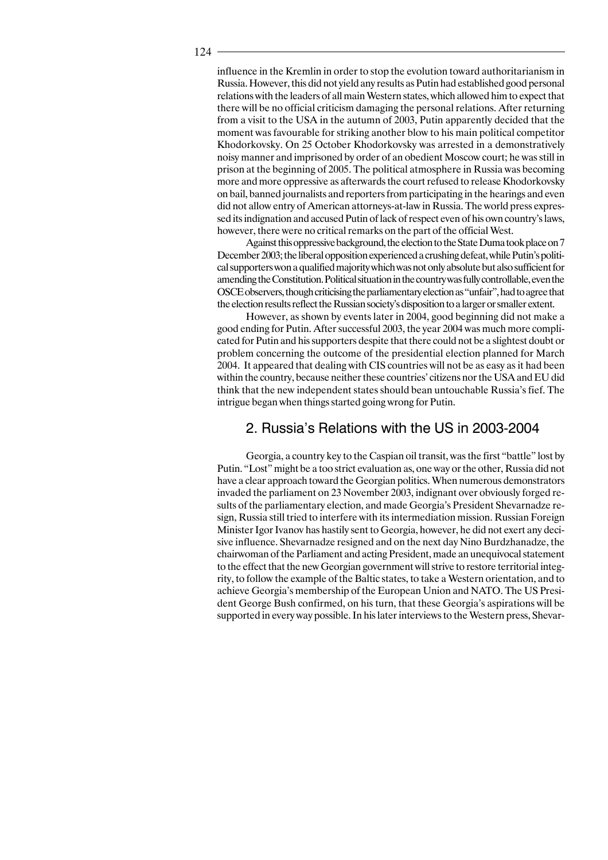influence in the Kremlin in order to stop the evolution toward authoritarianism in Russia. However, this did not yield any results as Putin had established good personal relations with the leaders of all main Western states, which allowed him to expect that there will be no official criticism damaging the personal relations. After returning from a visit to the USA in the autumn of 2003, Putin apparently decided that the moment was favourable for striking another blow to his main political competitor Khodorkovsky. On 25 October Khodorkovsky was arrested in a demonstratively noisy manner and imprisoned by order of an obedient Moscow court; he was still in prison at the beginning of 2005. The political atmosphere in Russia was becoming more and more oppressive as afterwards the court refused to release Khodorkovsky on bail, banned journalists and reporters from participating in the hearings and even did not allow entry of American attorneys-at-law in Russia. The world press expressed its indignation and accused Putin of lack of respect even of his own country's laws, however, there were no critical remarks on the part of the official West.

Against this oppressive background, the election to the State Duma took place on 7 December 2003; the liberal opposition experienced a crushing defeat, while Putin's political supporters won a qualified majority which was not only absolute but also sufficient for amending the Constitution. Political situation in the country was fully controllable, even the OSCE observers, though criticising the parliamentary election as "unfair", had to agree that the election results reflect the Russian society's disposition to a larger or smaller extent.

However, as shown by events later in 2004, good beginning did not make a good ending for Putin. After successful 2003, the year 2004 was much more complicated for Putin and his supporters despite that there could not be a slightest doubt or problem concerning the outcome of the presidential election planned for March 2004. It appeared that dealing with CIS countries will not be as easy as it had been within the country, because neither these countries' citizens nor the USA and EU did think that the new independent states should bean untouchable Russia's fief. The intrigue began when things started going wrong for Putin.

#### 2. Russia's Relations with the US in 2003-2004

Georgia, a country key to the Caspian oil transit, was the first "battle" lost by Putin. "Lost" might be a too strict evaluation as, one way or the other, Russia did not have a clear approach toward the Georgian politics. When numerous demonstrators invaded the parliament on 23 November 2003, indignant over obviously forged results of the parliamentary election, and made Georgia's President Shevarnadze resign, Russia still tried to interfere with its intermediation mission. Russian Foreign Minister Igor Ivanov has hastily sent to Georgia, however, he did not exert any decisive influence. Shevarnadze resigned and on the next day Nino Burdzhanadze, the chairwoman of the Parliament and acting President, made an unequivocal statement to the effect that the new Georgian government will strive to restore territorial integrity, to follow the example of the Baltic states, to take a Western orientation, and to achieve Georgia's membership of the European Union and NATO. The US President George Bush confirmed, on his turn, that these Georgia's aspirations will be supported in every way possible. In his later interviews to the Western press, Shevar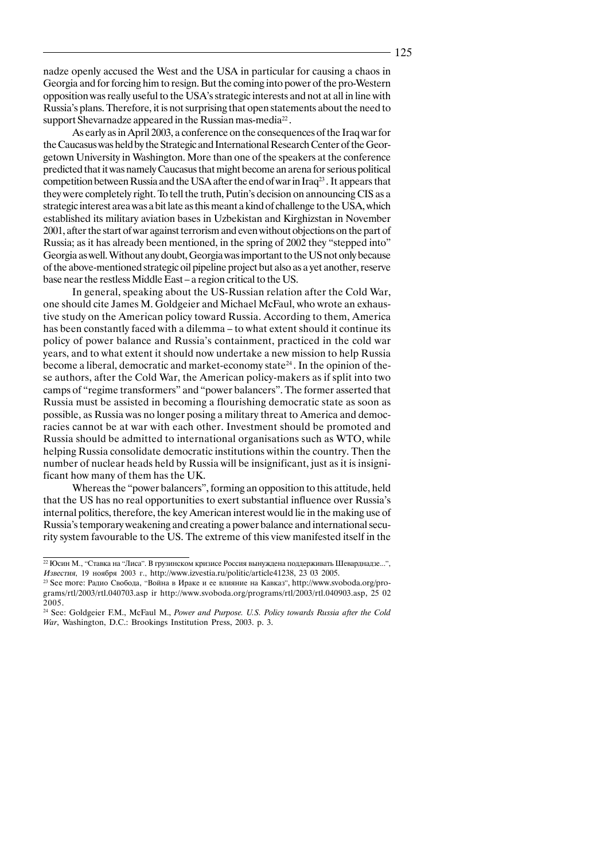nadze openly accused the West and the USA in particular for causing a chaos in Georgia and for forcing him to resign. But the coming into power of the pro-Western opposition was really useful to the USA's strategic interests and not at all in line with Russia's plans. Therefore, it is not surprising that open statements about the need to support Shevarnadze appeared in the Russian mas-media<sup>22</sup>.

As early as in April 2003, a conference on the consequences of the Iraq war for the Caucasus was held by the Strategic and International Research Center of the Georgetown University in Washington. More than one of the speakers at the conference predicted that it was namely Caucasus that might become an arena for serious political competition between Russia and the USA after the end of war in Iraq<sup>23</sup>. It appears that they were completely right. To tell the truth, Putin's decision on announcing CIS as a strategic interest area was a bit late as this meant a kind of challenge to the USA, which established its military aviation bases in Uzbekistan and Kirghizstan in November 2001, after the start of war against terrorism and even without objections on the part of Russia; as it has already been mentioned, in the spring of 2002 they "stepped into" Georgia as well. Without any doubt, Georgia was important to the US not only because of the above-mentioned strategic oil pipeline project but also as a yet another, reserve base near the restless Middle East – a region critical to the US.

In general, speaking about the US-Russian relation after the Cold War, one should cite James M. Goldgeier and Michael McFaul, who wrote an exhaustive study on the American policy toward Russia. According to them, America has been constantly faced with a dilemma – to what extent should it continue its policy of power balance and Russia's containment, practiced in the cold war years, and to what extent it should now undertake a new mission to help Russia become a liberal, democratic and market-economy state<sup>24</sup>. In the opinion of these authors, after the Cold War, the American policy-makers as if split into two camps of "regime transformers" and "power balancers". The former asserted that Russia must be assisted in becoming a flourishing democratic state as soon as possible, as Russia was no longer posing a military threat to America and democracies cannot be at war with each other. Investment should be promoted and Russia should be admitted to international organisations such as WTO, while helping Russia consolidate democratic institutions within the country. Then the number of nuclear heads held by Russia will be insignificant, just as it is insignificant how many of them has the UK.

Whereas the "power balancers", forming an opposition to this attitude, held that the US has no real opportunities to exert substantial influence over Russia's internal politics, therefore, the key American interest would lie in the making use of Russia's temporary weakening and creating a power balance and international security system favourable to the US. The extreme of this view manifested itself in the

<sup>&</sup>lt;sup>22</sup> Юсин М., "Ставка на "Лиса". В грузинском кризисе Россия вынуждена поддерживать Шеварднадзе...", Известия, 19 ноября 2003 г., http://www.izvestia.ru/politic/article41238, 23 03 2005.

<sup>&</sup>lt;sup>23</sup> See more: Радио Свобода, "Война в Ираке и ее влияние на Кавказ", http://www.svoboda.org/programs/rtl/2003/rtl.040703.asp ir http://www.svoboda.org/programs/rtl/2003/rtl.040903.asp, 25 02 2005.

<sup>24</sup> See: Goldgeier F.M., McFaul M., *Power and Purpose. U.S. Policy towards Russia after the Cold War*, Washington, D.C.: Brookings Institution Press, 2003. p. 3.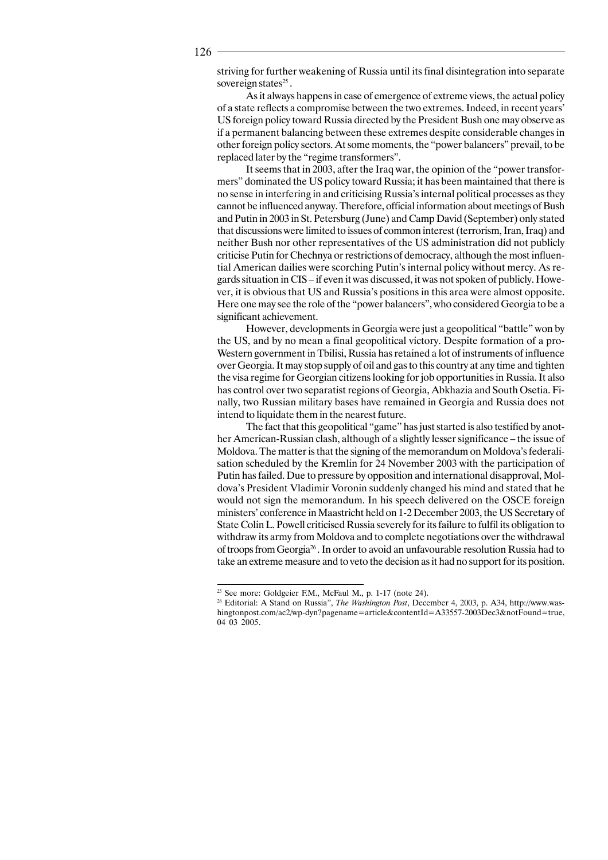striving for further weakening of Russia until its final disintegration into separate sovereign states<sup>25</sup>.

As it always happens in case of emergence of extreme views, the actual policy of a state reflects a compromise between the two extremes. Indeed, in recent years' US foreign policy toward Russia directed by the President Bush one may observe as if a permanent balancing between these extremes despite considerable changes in other foreign policy sectors. At some moments, the "power balancers" prevail, to be replaced later by the "regime transformers".

It seems that in 2003, after the Iraq war, the opinion of the "power transformers" dominated the US policy toward Russia; it has been maintained that there is no sense in interfering in and criticising Russia's internal political processes as they cannot be influenced anyway. Therefore, official information about meetings of Bush and Putin in 2003 in St. Petersburg (June) and Camp David (September) only stated that discussions were limited to issues of common interest (terrorism, Iran, Iraq) and neither Bush nor other representatives of the US administration did not publicly criticise Putin for Chechnya or restrictions of democracy, although the most influential American dailies were scorching Putin's internal policy without mercy. As regards situation in CIS – if even it was discussed, it was not spoken of publicly. However, it is obvious that US and Russia's positions in this area were almost opposite. Here one may see the role of the "power balancers", who considered Georgia to be a significant achievement.

However, developments in Georgia were just a geopolitical "battle" won by the US, and by no mean a final geopolitical victory. Despite formation of a pro-Western government in Tbilisi, Russia has retained a lot of instruments of influence over Georgia. It may stop supply of oil and gas to this country at any time and tighten the visa regime for Georgian citizens looking for job opportunities in Russia. It also has control over two separatist regions of Georgia, Abkhazia and South Osetia. Finally, two Russian military bases have remained in Georgia and Russia does not intend to liquidate them in the nearest future.

The fact that this geopolitical "game" has just started is also testified by another American-Russian clash, although of a slightly lesser significance – the issue of Moldova. The matter is that the signing of the memorandum on Moldova's federalisation scheduled by the Kremlin for 24 November 2003 with the participation of Putin has failed. Due to pressure by opposition and international disapproval, Moldova's President Vladimir Voronin suddenly changed his mind and stated that he would not sign the memorandum. In his speech delivered on the OSCE foreign ministers' conference in Maastricht held on 1-2 December 2003, the US Secretary of State Colin L. Powell criticised Russia severely for its failure to fulfil its obligation to withdraw its army from Moldova and to complete negotiations over the withdrawal of troops from Georgia26 . In order to avoid an unfavourable resolution Russia had to take an extreme measure and to veto the decision as it had no support for its position.

<sup>&</sup>lt;sup>25</sup> See more: Goldgeier F.M., McFaul M., p. 1-17 (note 24).

<sup>26</sup> Editorial: A Stand on Russia", *The Washington Post*, December 4, 2003, p. A34, http://www.washingtonpost.com/ac2/wp-dyn?pagename=article&contentId=A33557-2003Dec3&notFound=true, 04 03 2005.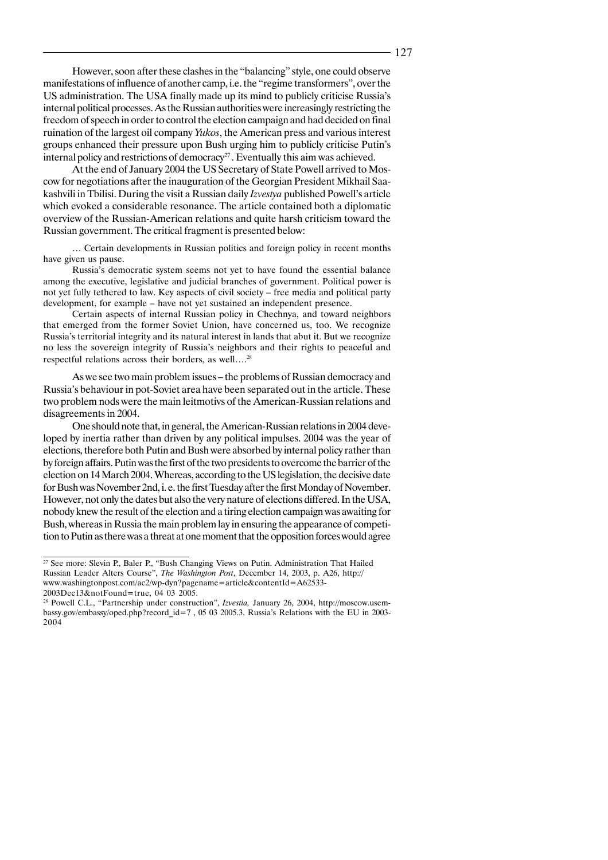However, soon after these clashes in the "balancing" style, one could observe manifestations of influence of another camp, i.e. the "regime transformers", over the US administration. The USA finally made up its mind to publicly criticise Russia's internal political processes. As the Russian authorities were increasingly restricting the freedom of speech in order to control the election campaign and had decided on final ruination of the largest oil company *Yukos*, the American press and various interest groups enhanced their pressure upon Bush urging him to publicly criticise Putin's internal policy and restrictions of democracy<sup>27</sup>. Eventually this aim was achieved.

At the end of January 2004 the US Secretary of State Powell arrived to Moscow for negotiations after the inauguration of the Georgian President Mikhail Saakashvili in Tbilisi. During the visit a Russian daily *Izvestya* published Powell's article which evoked a considerable resonance. The article contained both a diplomatic overview of the Russian-American relations and quite harsh criticism toward the Russian government. The critical fragment is presented below:

… Certain developments in Russian politics and foreign policy in recent months have given us pause.

Russia's democratic system seems not yet to have found the essential balance among the executive, legislative and judicial branches of government. Political power is not yet fully tethered to law. Key aspects of civil society – free media and political party development, for example – have not yet sustained an independent presence.

Certain aspects of internal Russian policy in Chechnya, and toward neighbors that emerged from the former Soviet Union, have concerned us, too. We recognize Russia's territorial integrity and its natural interest in lands that abut it. But we recognize no less the sovereign integrity of Russia's neighbors and their rights to peaceful and respectful relations across their borders, as well….28

As we see two main problem issues – the problems of Russian democracy and Russia's behaviour in pot-Soviet area have been separated out in the article. These two problem nods were the main leitmotivs of the American-Russian relations and disagreements in 2004.

One should note that, in general, the American-Russian relations in 2004 developed by inertia rather than driven by any political impulses. 2004 was the year of elections, therefore both Putin and Bush were absorbed by internal policy rather than by foreign affairs. Putin was the first of the two presidents to overcome the barrier of the election on 14 March 2004. Whereas, according to the US legislation, the decisive date for Bush was November 2nd, i. e. the first Tuesday after the first Monday of November. However, not only the dates but also the very nature of elections differed. In the USA, nobody knew the result of the election and a tiring election campaign was awaiting for Bush, whereas in Russia the main problem lay in ensuring the appearance of competition to Putin as there was a threat at one moment that the opposition forces would agree

<sup>&</sup>lt;sup>27</sup> See more: Slevin P., Baler P., "Bush Changing Views on Putin. Administration That Hailed Russian Leader Alters Course", *The Washington Post*, December 14, 2003, p. A26, http:// www.washingtonpost.com/ac2/wp-dyn?pagename=article&contentId=A62533- 2003Dec13&notFound=true, 04 03 2005.

<sup>28</sup> Powell C.L., "Partnership under construction", *Izvestia,* January 26, 2004, http://moscow.usembassy.gov/embassy/oped.php?record\_id=7 , 05 03 2005.3. Russia's Relations with the EU in 2003- 2004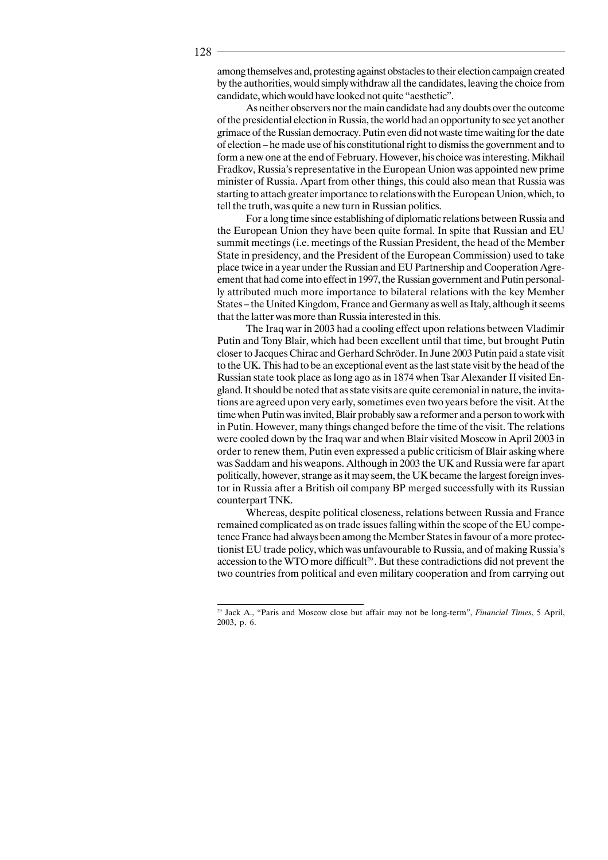among themselves and, protesting against obstacles to their election campaign created by the authorities, would simply withdraw all the candidates, leaving the choice from candidate, which would have looked not quite "aesthetic".

As neither observers nor the main candidate had any doubts over the outcome of the presidential election in Russia, the world had an opportunity to see yet another grimace of the Russian democracy. Putin even did not waste time waiting for the date of election – he made use of his constitutional right to dismiss the government and to form a new one at the end of February. However, his choice was interesting. Mikhail Fradkov, Russia's representative in the European Union was appointed new prime minister of Russia. Apart from other things, this could also mean that Russia was starting to attach greater importance to relations with the European Union, which, to tell the truth, was quite a new turn in Russian politics.

For a long time since establishing of diplomatic relations between Russia and the European Union they have been quite formal. In spite that Russian and EU summit meetings (i.e. meetings of the Russian President, the head of the Member State in presidency, and the President of the European Commission) used to take place twice in a year under the Russian and EU Partnership and Cooperation Agreement that had come into effect in 1997, the Russian government and Putin personally attributed much more importance to bilateral relations with the key Member States – the United Kingdom, France and Germany as well as Italy, although it seems that the latter was more than Russia interested in this.

The Iraq war in 2003 had a cooling effect upon relations between Vladimir Putin and Tony Blair, which had been excellent until that time, but brought Putin closer to Jacques Chirac and Gerhard Schröder. In June 2003 Putin paid a state visit to the UK. This had to be an exceptional event as the last state visit by the head of the Russian state took place as long ago as in 1874 when Tsar Alexander II visited England. It should be noted that as state visits are quite ceremonial in nature, the invitations are agreed upon very early, sometimes even two years before the visit. At the time when Putin was invited, Blair probably saw a reformer and a person to work with in Putin. However, many things changed before the time of the visit. The relations were cooled down by the Iraq war and when Blair visited Moscow in April 2003 in order to renew them, Putin even expressed a public criticism of Blair asking where was Saddam and his weapons. Although in 2003 the UK and Russia were far apart politically, however, strange as it may seem, the UK became the largest foreign investor in Russia after a British oil company BP merged successfully with its Russian counterpart TNK.

Whereas, despite political closeness, relations between Russia and France remained complicated as on trade issues falling within the scope of the EU competence France had always been among the Member States in favour of a more protectionist EU trade policy, which was unfavourable to Russia, and of making Russia's accession to the WTO more difficult<sup>29</sup>. But these contradictions did not prevent the two countries from political and even military cooperation and from carrying out

<sup>29</sup> Jack A., "Paris and Moscow close but affair may not be long-term", *Financial Times*, 5 April, 2003, p. 6.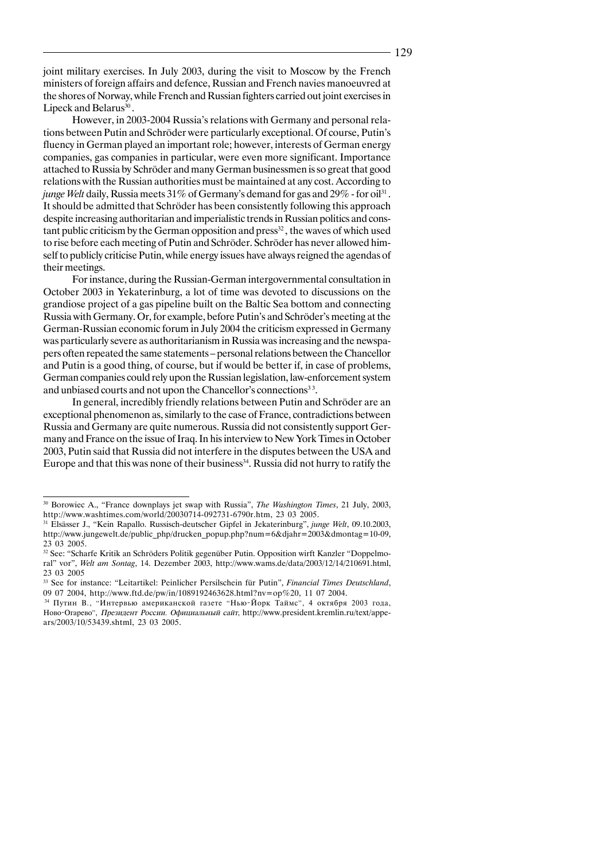joint military exercises. In July 2003, during the visit to Moscow by the French ministers of foreign affairs and defence, Russian and French navies manoeuvred at the shores of Norway, while French and Russian fighters carried out joint exercises in Lipeck and Belarus<sup>30</sup>.

However, in 2003-2004 Russia's relations with Germany and personal relations between Putin and Schröder were particularly exceptional. Of course, Putin's fluency in German played an important role; however, interests of German energy companies, gas companies in particular, were even more significant. Importance attached to Russia by Schröder and many German businessmen is so great that good relations with the Russian authorities must be maintained at any cost. According to junge Welt daily, Russia meets 31% of Germany's demand for gas and 29% - for oil<sup>31</sup>. It should be admitted that Schröder has been consistently following this approach despite increasing authoritarian and imperialistic trends in Russian politics and constant public criticism by the German opposition and press<sup>32</sup>, the waves of which used to rise before each meeting of Putin and Schröder. Schröder has never allowed himself to publicly criticise Putin, while energy issues have always reigned the agendas of their meetings.

For instance, during the Russian-German intergovernmental consultation in October 2003 in Yekaterinburg, a lot of time was devoted to discussions on the grandiose project of a gas pipeline built on the Baltic Sea bottom and connecting Russia with Germany. Or, for example, before Putin's and Schröder's meeting at the German-Russian economic forum in July 2004 the criticism expressed in Germany was particularly severe as authoritarianism in Russia was increasing and the newspapers often repeated the same statements – personal relations between the Chancellor and Putin is a good thing, of course, but if would be better if, in case of problems, German companies could rely upon the Russian legislation, law-enforcement system and unbiased courts and not upon the Chancellor's connections<sup>33</sup>.

In general, incredibly friendly relations between Putin and Schröder are an exceptional phenomenon as, similarly to the case of France, contradictions between Russia and Germany are quite numerous. Russia did not consistently support Germany and France on the issue of Iraq. In his interview to New York Times in October 2003, Putin said that Russia did not interfere in the disputes between the USA and Europe and that this was none of their business<sup>34</sup>. Russia did not hurry to ratify the

<sup>30</sup> Borowiec A., "France downplays jet swap with Russia", *The Washington Times*, 21 July, 2003, http://www.washtimes.com/world/20030714-092731-6790r.htm, 23 03 2005.

<sup>31</sup> Elsässer J., "Kein Rapallo. Russisch-deutscher Gipfel in Jekaterinburg", *junge Welt*, 09.10.2003, http://www.jungewelt.de/public\_php/drucken\_popup.php?num=6&djahr=2003&dmontag=10-09, 23 03 2005.

<sup>&</sup>lt;sup>32</sup> See: "Scharfe Kritik an Schröders Politik gegenüber Putin. Opposition wirft Kanzler "Doppelmoral" vor", *Welt am Sontag*, 14. Dezember 2003, http://www.wams.de/data/2003/12/14/210691.html, 23 03 2005

<sup>33</sup> See for instance: "Leitartikel: Peinlicher Persilschein für Putin", *Financial Times Deutschland*, 09 07 2004, http://www.ftd.de/pw/in/1089192463628.html?nv=op%20, 11 07 2004.

Путин В., "Интервью американской газете "Нью-Йорк Таймс", 4 октября 2003 года, Ново-Огарево", *Президент России. Официальный сайт*, http://www.president.kremlin.ru/text/appears/2003/10/53439.shtml, 23 03 2005.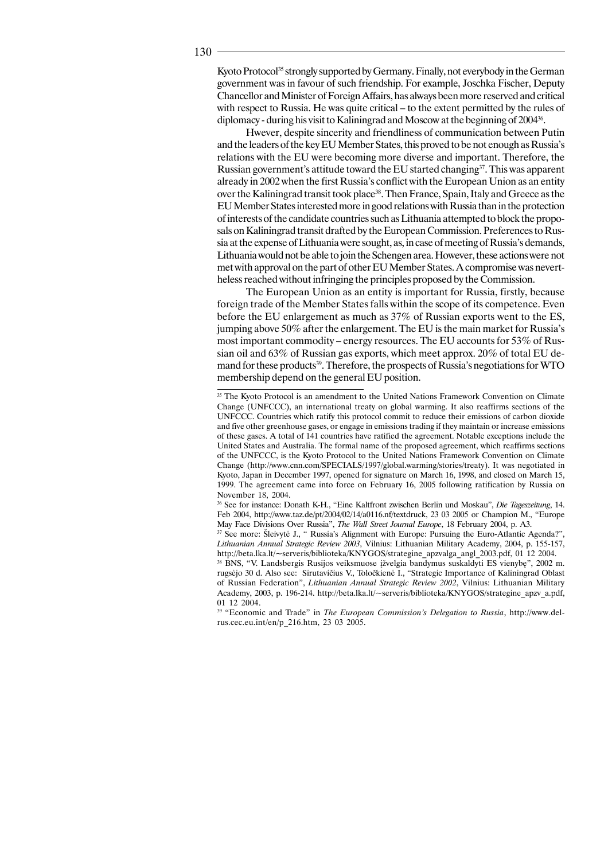Kyoto Protocol<sup>35</sup> strongly supported by Germany. Finally, not everybody in the German government was in favour of such friendship. For example, Joschka Fischer, Deputy Chancellor and Minister of Foreign Affairs, has always been more reserved and critical with respect to Russia. He was quite critical – to the extent permitted by the rules of diplomacy - during his visit to Kaliningrad and Moscow at the beginning of 200436.

Hwever, despite sincerity and friendliness of communication between Putin and the leaders of the key EU Member States, this proved to be not enough as Russia's relations with the EU were becoming more diverse and important. Therefore, the Russian government's attitude toward the EU started changing $37$ . This was apparent already in 2002 when the first Russia's conflict with the European Union as an entity over the Kaliningrad transit took place<sup>38</sup>. Then France, Spain, Italy and Greece as the EU Member States interested more in good relations with Russia than in the protection of interests of the candidate countries such as Lithuania attempted to block the proposals on Kaliningrad transit drafted by the European Commission. Preferences to Russia at the expense of Lithuania were sought, as, in case of meeting of Russia's demands, Lithuania would not be able to join the Schengen area. However, these actions were not met with approval on the part of other EU Member States. A compromise was nevertheless reached without infringing the principles proposed by the Commission.

The European Union as an entity is important for Russia, firstly, because foreign trade of the Member States falls within the scope of its competence. Even before the EU enlargement as much as 37% of Russian exports went to the ES, jumping above 50% after the enlargement. The EU is the main market for Russia's most important commodity – energy resources. The EU accounts for 53% of Russian oil and 63% of Russian gas exports, which meet approx. 20% of total EU demand for these products<sup>39</sup>. Therefore, the prospects of Russia's negotiations for WTO membership depend on the general EU position.

36 See for instance: Donath K-H., "Eine Kaltfront zwischen Berlin und Moskau", *Die Tageszeitung*, 14. Feb 2004, http://www.taz.de/pt/2004/02/14/a0116.nf/textdruck, 23 03 2005 or Champion M., "Europe May Face Divisions Over Russia", *The Wall Street Journal Europe*, 18 February 2004, p. A3.

<sup>37</sup> See more: Šleivytė J., " Russia's Alignment with Europe: Pursuing the Euro-Atlantic Agenda?", *Lithuanian Annual Strategic Review 2003*, Vilnius: Lithuanian Military Academy, 2004, p. 155-157, http://beta.lka.lt/~serveris/biblioteka/KNYGOS/strategine\_apzvalga\_angl\_2003.pdf, 01 12 2004.

<sup>38</sup> BNS, "V. Landsbergis Rusijos veiksmuose įžvelgia bandymus suskaldyti ES vienybę", 2002 m. rugsëjo 30 d. Also see: Sirutavièius V., Toloèkienë I., "Strategic Importance of Kaliningrad Oblast of Russian Federation", *Lithuanian Annual Strategic Review 2002*, Vilnius: Lithuanian Military Academy, 2003, p. 196-214. http://beta.lka.lt/~serveris/biblioteka/KNYGOS/strategine\_apzv\_a.pdf, 01 12 2004.

39 "Economic and Trade" in *The European Commission's Delegation to Russia*, http://www.delrus.cec.eu.int/en/p\_216.htm, 23 03 2005.

<sup>&</sup>lt;sup>35</sup> The Kyoto Protocol is an amendment to the United Nations Framework Convention on Climate Change (UNFCCC), an international treaty on global warming. It also reaffirms sections of the UNFCCC. Countries which ratify this protocol commit to reduce their emissions of carbon dioxide and five other greenhouse gases, or engage in emissions trading if they maintain or increase emissions of these gases. A total of 141 countries have ratified the agreement. Notable exceptions include the United States and Australia. The formal name of the proposed agreement, which reaffirms sections of the UNFCCC, is the Kyoto Protocol to the United Nations Framework Convention on Climate Change (http://www.cnn.com/SPECIALS/1997/global.warming/stories/treaty). It was negotiated in Kyoto, Japan in December 1997, opened for signature on March 16, 1998, and closed on March 15, 1999. The agreement came into force on February 16, 2005 following ratification by Russia on November 18, 2004.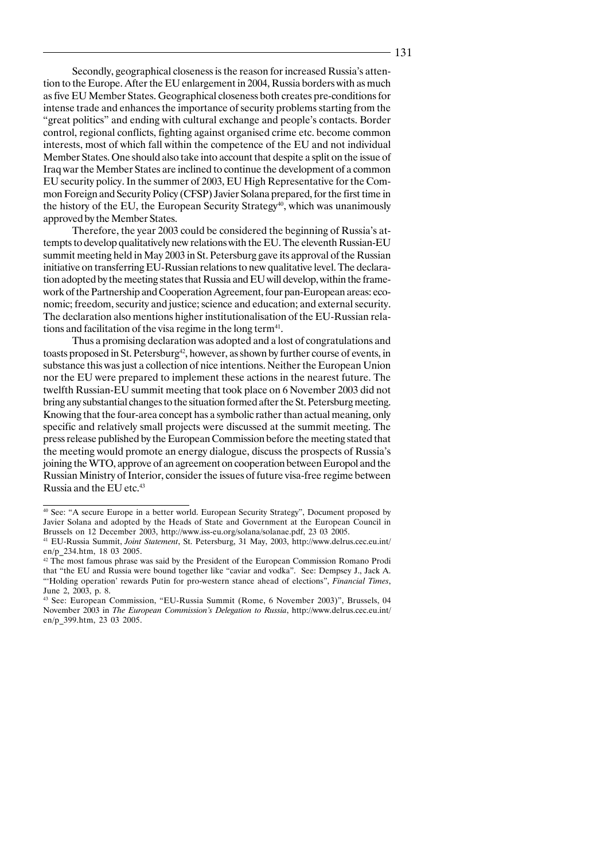Secondly, geographical closeness is the reason for increased Russia's attention to the Europe. After the EU enlargement in 2004, Russia borders with as much as five EU Member States. Geographical closeness both creates pre-conditions for intense trade and enhances the importance of security problems starting from the "great politics" and ending with cultural exchange and people's contacts. Border control, regional conflicts, fighting against organised crime etc. become common interests, most of which fall within the competence of the EU and not individual Member States. One should also take into account that despite a split on the issue of Iraq war the Member States are inclined to continue the development of a common EU security policy. In the summer of 2003, EU High Representative for the Common Foreign and Security Policy (CFSP) Javier Solana prepared, for the first time in the history of the EU, the European Security Strategy<sup>40</sup>, which was unanimously approved by the Member States.

Therefore, the year 2003 could be considered the beginning of Russia's attempts to develop qualitatively new relations with the EU. The eleventh Russian-EU summit meeting held in May 2003 in St. Petersburg gave its approval of the Russian initiative on transferring EU-Russian relations to new qualitative level. The declaration adopted by the meeting states that Russia and EU will develop, within the framework of the Partnership and Cooperation Agreement, four pan-European areas: economic; freedom, security and justice; science and education; and external security. The declaration also mentions higher institutionalisation of the EU-Russian relations and facilitation of the visa regime in the long term<sup>41</sup>.

Thus a promising declaration was adopted and a lost of congratulations and toasts proposed in St. Petersburg<sup>42</sup>, however, as shown by further course of events, in substance this was just a collection of nice intentions. Neither the European Union nor the EU were prepared to implement these actions in the nearest future. The twelfth Russian-EU summit meeting that took place on 6 November 2003 did not bring any substantial changes to the situation formed after the St. Petersburg meeting. Knowing that the four-area concept has a symbolic rather than actual meaning, only specific and relatively small projects were discussed at the summit meeting. The press release published by the European Commission before the meeting stated that the meeting would promote an energy dialogue, discuss the prospects of Russia's joining the WTO, approve of an agreement on cooperation between Europol and the Russian Ministry of Interior, consider the issues of future visa-free regime between Russia and the EU etc.43

<sup>&</sup>lt;sup>40</sup> See: "A secure Europe in a better world. European Security Strategy", Document proposed by Javier Solana and adopted by the Heads of State and Government at the European Council in Brussels on 12 December 2003, http://www.iss-eu.org/solana/solanae.pdf, 23 03 2005.

<sup>41</sup> EU-Russia Summit, *Joint Statement*, St. Petersburg, 31 May, 2003, http://www.delrus.cec.eu.int/ en/p\_234.htm, 18 03 2005.

<sup>42</sup> The most famous phrase was said by the President of the European Commission Romano Prodi that "the EU and Russia were bound together like "caviar and vodka". See: Dempsey J., Jack A. "'Holding operation' rewards Putin for pro-western stance ahead of elections", *Financial Times*, June 2, 2003, p. 8.

<sup>43</sup> See: European Commission, "EU-Russia Summit (Rome, 6 November 2003)", Brussels, 04 November 2003 in *The European Commission's Delegation to Russia*, http://www.delrus.cec.eu.int/ en/p\_399.htm, 23 03 2005.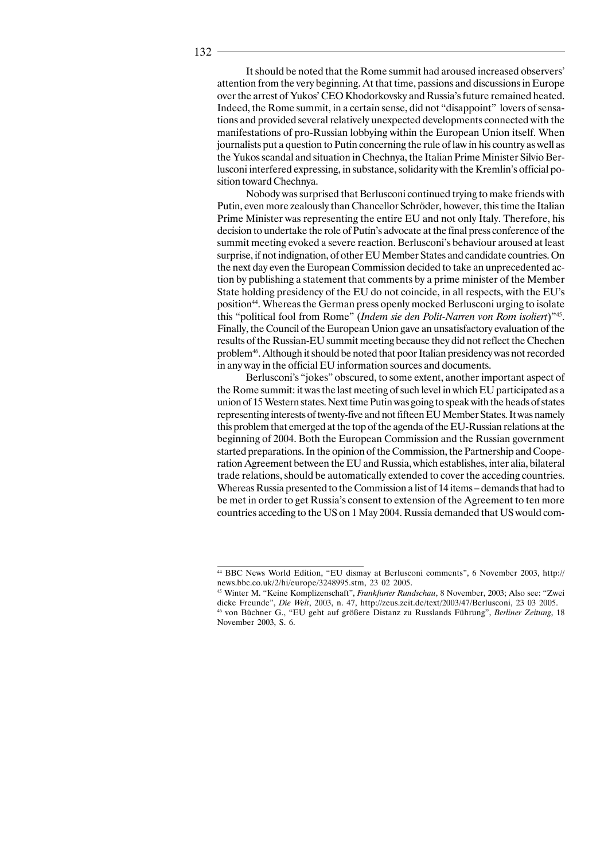It should be noted that the Rome summit had aroused increased observers' attention from the very beginning. At that time, passions and discussions in Europe over the arrest of Yukos' CEO Khodorkovsky and Russia's future remained heated. Indeed, the Rome summit, in a certain sense, did not "disappoint" lovers of sensations and provided several relatively unexpected developments connected with the manifestations of pro-Russian lobbying within the European Union itself. When journalists put a question to Putin concerning the rule of law in his country as well as the Yukos scandal and situation in Chechnya, the Italian Prime Minister Silvio Berlusconi interfered expressing, in substance, solidarity with the Kremlin's official position toward Chechnya.

Nobody was surprised that Berlusconi continued trying to make friends with Putin, even more zealously than Chancellor Schröder, however, this time the Italian Prime Minister was representing the entire EU and not only Italy. Therefore, his decision to undertake the role of Putin's advocate at the final press conference of the summit meeting evoked a severe reaction. Berlusconi's behaviour aroused at least surprise, if not indignation, of other EU Member States and candidate countries. On the next day even the European Commission decided to take an unprecedented action by publishing a statement that comments by a prime minister of the Member State holding presidency of the EU do not coincide, in all respects, with the EU's position44. Whereas the German press openly mocked Berlusconi urging to isolate this "political fool from Rome" (*Indem sie den Polit-Narren von Rom isoliert*)"45. Finally, the Council of the European Union gave an unsatisfactory evaluation of the results of the Russian-EU summit meeting because they did not reflect the Chechen problem46. Although it should be noted that poor Italian presidency was not recorded in any way in the official EU information sources and documents.

Berlusconi's "jokes" obscured, to some extent, another important aspect of the Rome summit: it was the last meeting of such level in which EU participated as a union of 15 Western states. Next time Putin was going to speak with the heads of states representing interests of twenty-five and not fifteen EU Member States. It was namely this problem that emerged at the top of the agenda of the EU-Russian relations at the beginning of 2004. Both the European Commission and the Russian government started preparations. In the opinion of the Commission, the Partnership and Cooperation Agreement between the EU and Russia, which establishes, inter alia, bilateral trade relations, should be automatically extended to cover the acceding countries. Whereas Russia presented to the Commission a list of 14 items – demands that had to be met in order to get Russia's consent to extension of the Agreement to ten more countries acceding to the US on 1 May 2004. Russia demanded that US would com-

<sup>44</sup> BBC News World Edition, "EU dismay at Berlusconi comments", 6 November 2003, http:// news.bbc.co.uk/2/hi/europe/3248995.stm, 23 02 2005.

<sup>45</sup> Winter M. "Keine Komplizenschaft", *Frankfurter Rundschau*, 8 November, 2003; Also see: "Zwei dicke Freunde", *Die Welt*, 2003, n. 47, http://zeus.zeit.de/text/2003/47/Berlusconi, 23 03 2005. 46 von Büchner G., "EU geht auf größere Distanz zu Russlands Führung", *Berliner Zeitung*, 18 November 2003, S. 6.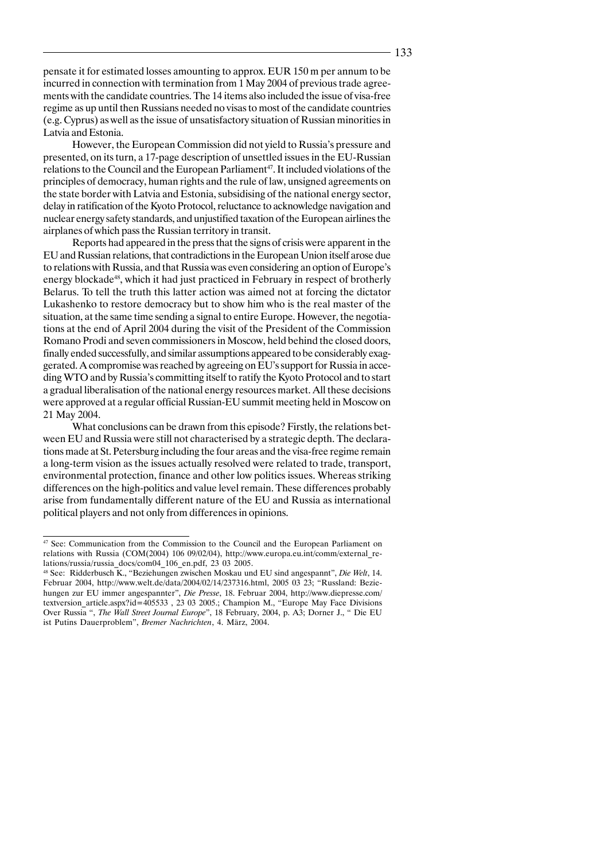pensate it for estimated losses amounting to approx. EUR 150 m per annum to be incurred in connection with termination from 1 May 2004 of previous trade agreements with the candidate countries. The 14 items also included the issue of visa-free regime as up until then Russians needed no visas to most of the candidate countries (e.g. Cyprus) as well as the issue of unsatisfactory situation of Russian minorities in Latvia and Estonia.

However, the European Commission did not yield to Russia's pressure and presented, on its turn, a 17-page description of unsettled issues in the EU-Russian relations to the Council and the European Parliament<sup>47</sup>. It included violations of the principles of democracy, human rights and the rule of law, unsigned agreements on the state border with Latvia and Estonia, subsidising of the national energy sector, delay in ratification of the Kyoto Protocol, reluctance to acknowledge navigation and nuclear energy safety standards, and unjustified taxation of the European airlines the airplanes of which pass the Russian territory in transit.

Reports had appeared in the press that the signs of crisis were apparent in the EU and Russian relations, that contradictions in the European Union itself arose due to relations with Russia, and that Russia was even considering an option of Europe's energy blockade<sup>48</sup>, which it had just practiced in February in respect of brotherly Belarus. To tell the truth this latter action was aimed not at forcing the dictator Lukashenko to restore democracy but to show him who is the real master of the situation, at the same time sending a signal to entire Europe. However, the negotiations at the end of April 2004 during the visit of the President of the Commission Romano Prodi and seven commissioners in Moscow, held behind the closed doors, finally ended successfully, and similar assumptions appeared to be considerably exaggerated. A compromise was reached by agreeing on EU's support for Russia in acceding WTO and by Russia's committing itself to ratify the Kyoto Protocol and to start a gradual liberalisation of the national energy resources market. All these decisions were approved at a regular official Russian-EU summit meeting held in Moscow on 21 May 2004.

What conclusions can be drawn from this episode? Firstly, the relations between EU and Russia were still not characterised by a strategic depth. The declarations made at St. Petersburg including the four areas and the visa-free regime remain a long-term vision as the issues actually resolved were related to trade, transport, environmental protection, finance and other low politics issues. Whereas striking differences on the high-politics and value level remain. These differences probably arise from fundamentally different nature of the EU and Russia as international political players and not only from differences in opinions.

<sup>47</sup> See: Communication from the Commission to the Council and the European Parliament on relations with Russia (COM(2004) 106 09/02/04), http://www.europa.eu.int/comm/external\_relations/russia/russia\_docs/com04\_106\_en.pdf, 23 03 2005.

<sup>48</sup> See: Ridderbusch K., "Beziehungen zwischen Moskau und EU sind angespannt", *Die Welt*, 14. Februar 2004, http://www.welt.de/data/2004/02/14/237316.html, 2005 03 23; "Russland: Beziehungen zur EU immer angespannter", *Die Presse*, 18. Februar 2004, http://www.diepresse.com/ textversion\_article.aspx?id=405533 , 23 03 2005.; Champion M., "Europe May Face Divisions Over Russia ", *The Wall Street Journal Europe*", 18 February, 2004, p. A3; Dorner J., " Die EU ist Putins Dauerproblem", *Bremer Nachrichten*, 4. März, 2004.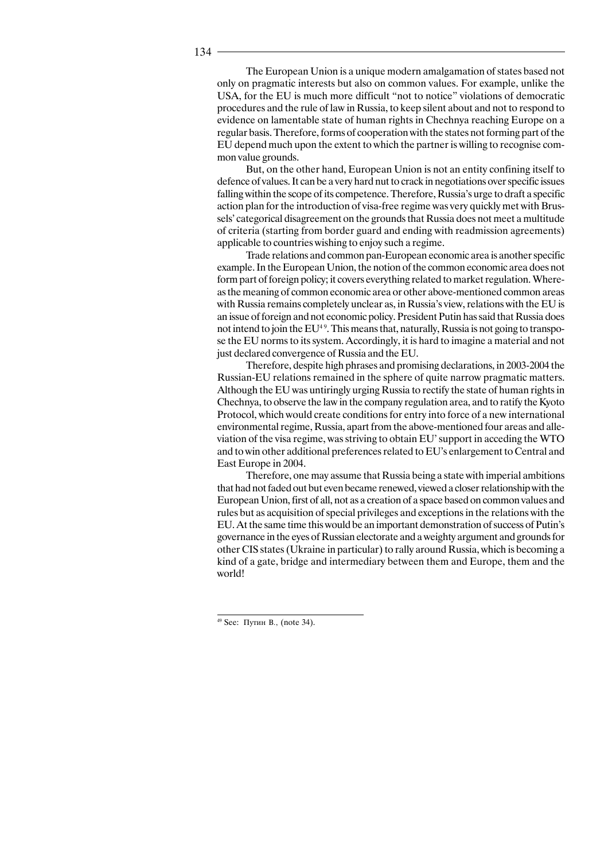The European Union is a unique modern amalgamation of states based not only on pragmatic interests but also on common values. For example, unlike the USA, for the EU is much more difficult "not to notice" violations of democratic procedures and the rule of law in Russia, to keep silent about and not to respond to evidence on lamentable state of human rights in Chechnya reaching Europe on a regular basis. Therefore, forms of cooperation with the states not forming part of the EU depend much upon the extent to which the partner is willing to recognise common value grounds.

But, on the other hand, European Union is not an entity confining itself to defence of values. It can be a very hard nut to crack in negotiations over specific issues falling within the scope of its competence. Therefore, Russia's urge to draft a specific action plan for the introduction of visa-free regime was very quickly met with Brussels' categorical disagreement on the grounds that Russia does not meet a multitude of criteria (starting from border guard and ending with readmission agreements) applicable to countries wishing to enjoy such a regime.

Trade relations and common pan-European economic area is another specific example. In the European Union, the notion of the common economic area does not form part of foreign policy; it covers everything related to market regulation. Whereas the meaning of common economic area or other above-mentioned common areas with Russia remains completely unclear as, in Russia's view, relations with the EU is an issue of foreign and not economic policy. President Putin has said that Russia does not intend to join the  $EU^{4.9}$ . This means that, naturally, Russia is not going to transpose the EU norms to its system. Accordingly, it is hard to imagine a material and not just declared convergence of Russia and the EU.

Therefore, despite high phrases and promising declarations, in 2003-2004 the Russian-EU relations remained in the sphere of quite narrow pragmatic matters. Although the EU was untiringly urging Russia to rectify the state of human rights in Chechnya, to observe the law in the company regulation area, and to ratify the Kyoto Protocol, which would create conditions for entry into force of a new international environmental regime, Russia, apart from the above-mentioned four areas and alleviation of the visa regime, was striving to obtain EU' support in acceding the WTO and to win other additional preferences related to EU's enlargement to Central and East Europe in 2004.

Therefore, one may assume that Russia being a state with imperial ambitions that had not faded out but even became renewed, viewed a closer relationship with the European Union, first of all, not as a creation of a space based on common values and rules but as acquisition of special privileges and exceptions in the relations with the EU. At the same time this would be an important demonstration of success of Putin's governance in the eyes of Russian electorate and a weighty argument and grounds for other CIS states (Ukraine in particular) to rally around Russia, which is becoming a kind of a gate, bridge and intermediary between them and Europe, them and the world!

 $49$  See:  $\Pi$ v $\Pi$ <sup>H</sup> B., (note 34).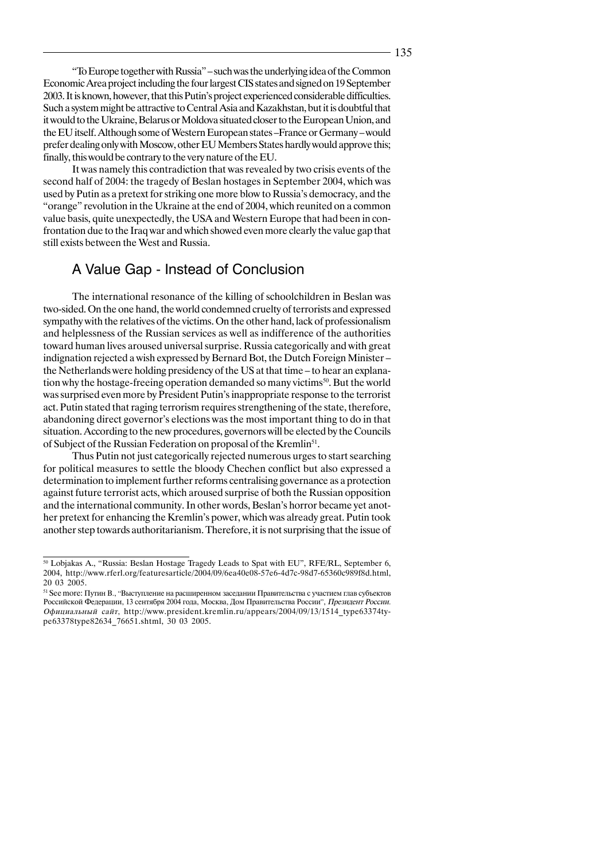"To Europe together with Russia" – such was the underlying idea of the Common Economic Area project including the four largest CIS states and signed on 19 September 2003. It is known, however, that this Putin's project experienced considerable difficulties. Such a system might be attractive to Central Asia and Kazakhstan, but it is doubtful that it would to the Ukraine, Belarus or Moldova situated closer to the European Union, and the EU itself. Although some of Western European states –France or Germany – would prefer dealing only with Moscow, other EU Members States hardly would approve this; finally, this would be contrary to the very nature of the EU.

It was namely this contradiction that was revealed by two crisis events of the second half of 2004: the tragedy of Beslan hostages in September 2004, which was used by Putin as a pretext for striking one more blow to Russia's democracy, and the "orange" revolution in the Ukraine at the end of 2004, which reunited on a common value basis, quite unexpectedly, the USA and Western Europe that had been in confrontation due to the Iraq war and which showed even more clearly the value gap that still exists between the West and Russia.

### A Value Gap - Instead of Conclusion

The international resonance of the killing of schoolchildren in Beslan was two-sided. On the one hand, the world condemned cruelty of terrorists and expressed sympathy with the relatives of the victims. On the other hand, lack of professionalism and helplessness of the Russian services as well as indifference of the authorities toward human lives aroused universal surprise. Russia categorically and with great indignation rejected a wish expressed by Bernard Bot, the Dutch Foreign Minister – the Netherlands were holding presidency of the US at that time – to hear an explanation why the hostage-freeing operation demanded so many victims<sup>50</sup>. But the world was surprised even more by President Putin's inappropriate response to the terrorist act. Putin stated that raging terrorism requires strengthening of the state, therefore, abandoning direct governor's elections was the most important thing to do in that situation. According to the new procedures, governors will be elected by the Councils of Subject of the Russian Federation on proposal of the Kremlin<sup>51</sup>.

Thus Putin not just categorically rejected numerous urges to start searching for political measures to settle the bloody Chechen conflict but also expressed a determination to implement further reforms centralising governance as a protection against future terrorist acts, which aroused surprise of both the Russian opposition and the international community. In other words, Beslan's horror became yet another pretext for enhancing the Kremlin's power, which was already great. Putin took another step towards authoritarianism. Therefore, it is not surprising that the issue of

<sup>&</sup>lt;sup>50</sup> Lobjakas A., "Russia: Beslan Hostage Tragedy Leads to Spat with EU", RFE/RL, September 6, 2004, http://www.rferl.org/featuresarticle/2004/09/6ea40e08-57e6-4d7c-98d7-65360c989f8d.html, 20 03 2005.

<sup>51</sup> See more: Путин В., "Выступление на расширенном заседании Правительства с участием глав субъектов Российской Федерации, 13 сентября 2004 года, Москва, Дом Правительства России", Президент России. Официальный сайт, http://www.president.kremlin.ru/appears/2004/09/13/1514 type63374type63378type82634\_76651.shtml, 30 03 2005.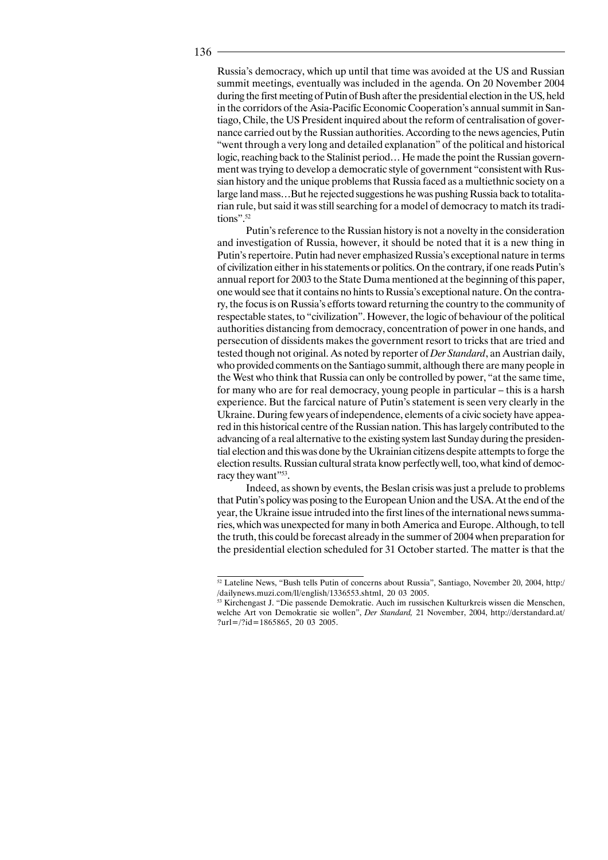Russia's democracy, which up until that time was avoided at the US and Russian summit meetings, eventually was included in the agenda. On 20 November 2004 during the first meeting of Putin of Bush after the presidential election in the US, held in the corridors of the Asia-Pacific Economic Cooperation's annual summit in Santiago, Chile, the US President inquired about the reform of centralisation of governance carried out by the Russian authorities. According to the news agencies, Putin "went through a very long and detailed explanation" of the political and historical logic, reaching back to the Stalinist period… He made the point the Russian government was trying to develop a democratic style of government "consistent with Russian history and the unique problems that Russia faced as a multiethnic society on a large land mass…But he rejected suggestions he was pushing Russia back to totalitarian rule, but said it was still searching for a model of democracy to match its traditions".52

Putin's reference to the Russian history is not a novelty in the consideration and investigation of Russia, however, it should be noted that it is a new thing in Putin's repertoire. Putin had never emphasized Russia's exceptional nature in terms of civilization either in his statements or politics. On the contrary, if one reads Putin's annual report for 2003 to the State Duma mentioned at the beginning of this paper, one would see that it contains no hints to Russia's exceptional nature. On the contrary, the focus is on Russia's efforts toward returning the country to the community of respectable states, to "civilization". However, the logic of behaviour of the political authorities distancing from democracy, concentration of power in one hands, and persecution of dissidents makes the government resort to tricks that are tried and tested though not original. As noted by reporter of *Der Standard*, an Austrian daily, who provided comments on the Santiago summit, although there are many people in the West who think that Russia can only be controlled by power, "at the same time, for many who are for real democracy, young people in particular – this is a harsh experience. But the farcical nature of Putin's statement is seen very clearly in the Ukraine. During few years of independence, elements of a civic society have appeared in this historical centre of the Russian nation. This has largely contributed to the advancing of a real alternative to the existing system last Sunday during the presidential election and this was done by the Ukrainian citizens despite attempts to forge the election results. Russian cultural strata know perfectly well, too, what kind of democracy they want"53.

Indeed, as shown by events, the Beslan crisis was just a prelude to problems that Putin's policy was posing to the European Union and the USA. At the end of the year, the Ukraine issue intruded into the first lines of the international news summaries, which was unexpected for many in both America and Europe. Although, to tell the truth, this could be forecast already in the summer of 2004 when preparation for the presidential election scheduled for 31 October started. The matter is that the

<sup>52</sup> Lateline News, "Bush tells Putin of concerns about Russia", Santiago, November 20, 2004, http:/ /dailynews.muzi.com/ll/english/1336553.shtml, 20 03 2005.

<sup>53</sup> Kirchengast J. "Die passende Demokratie. Auch im russischen Kulturkreis wissen die Menschen, welche Art von Demokratie sie wollen", *Der Standard,* 21 November, 2004, http://derstandard.at/ ?url=/?id=1865865, 20 03 2005.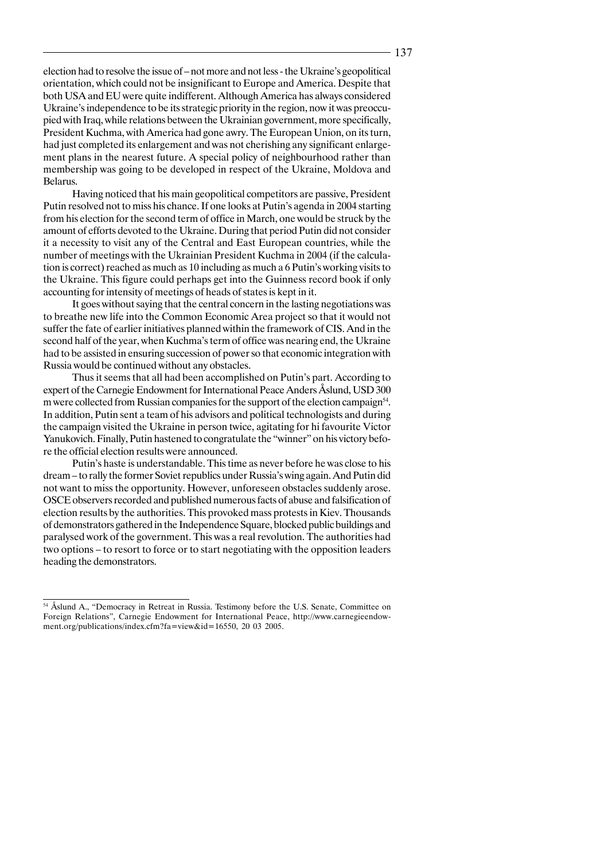election had to resolve the issue of – not more and not less - the Ukraine's geopolitical orientation, which could not be insignificant to Europe and America. Despite that both USA and EU were quite indifferent. Although America has always considered Ukraine's independence to be its strategic priority in the region, now it was preoccupied with Iraq, while relations between the Ukrainian government, more specifically, President Kuchma, with America had gone awry. The European Union, on its turn, had just completed its enlargement and was not cherishing any significant enlargement plans in the nearest future. A special policy of neighbourhood rather than membership was going to be developed in respect of the Ukraine, Moldova and Belarus.

Having noticed that his main geopolitical competitors are passive, President Putin resolved not to miss his chance. If one looks at Putin's agenda in 2004 starting from his election for the second term of office in March, one would be struck by the amount of efforts devoted to the Ukraine. During that period Putin did not consider it a necessity to visit any of the Central and East European countries, while the number of meetings with the Ukrainian President Kuchma in 2004 (if the calculation is correct) reached as much as 10 including as much a 6 Putin's working visits to the Ukraine. This figure could perhaps get into the Guinness record book if only accounting for intensity of meetings of heads of states is kept in it.

It goes without saying that the central concern in the lasting negotiations was to breathe new life into the Common Economic Area project so that it would not suffer the fate of earlier initiatives planned within the framework of CIS. And in the second half of the year, when Kuchma's term of office was nearing end, the Ukraine had to be assisted in ensuring succession of power so that economic integration with Russia would be continued without any obstacles.

Thus it seems that all had been accomplished on Putin's part. According to expert of the Carnegie Endowment for International Peace Anders Åslund, USD 300 m were collected from Russian companies for the support of the election campaign<sup>54</sup>. In addition, Putin sent a team of his advisors and political technologists and during the campaign visited the Ukraine in person twice, agitating for hi favourite Victor Yanukovich. Finally, Putin hastened to congratulate the "winner" on his victory before the official election results were announced.

Putin's haste is understandable. This time as never before he was close to his dream – to rally the former Soviet republics under Russia's wing again. And Putin did not want to miss the opportunity. However, unforeseen obstacles suddenly arose. OSCE observers recorded and published numerous facts of abuse and falsification of election results by the authorities. This provoked mass protests in Kiev. Thousands of demonstrators gathered in the Independence Square, blocked public buildings and paralysed work of the government. This was a real revolution. The authorities had two options – to resort to force or to start negotiating with the opposition leaders heading the demonstrators.

<sup>&</sup>lt;sup>54</sup> Åslund A., "Democracy in Retreat in Russia. Testimony before the U.S. Senate, Committee on Foreign Relations", Carnegie Endowment for International Peace, http://www.carnegieendowment.org/publications/index.cfm?fa=view&id=16550, 20 03 2005.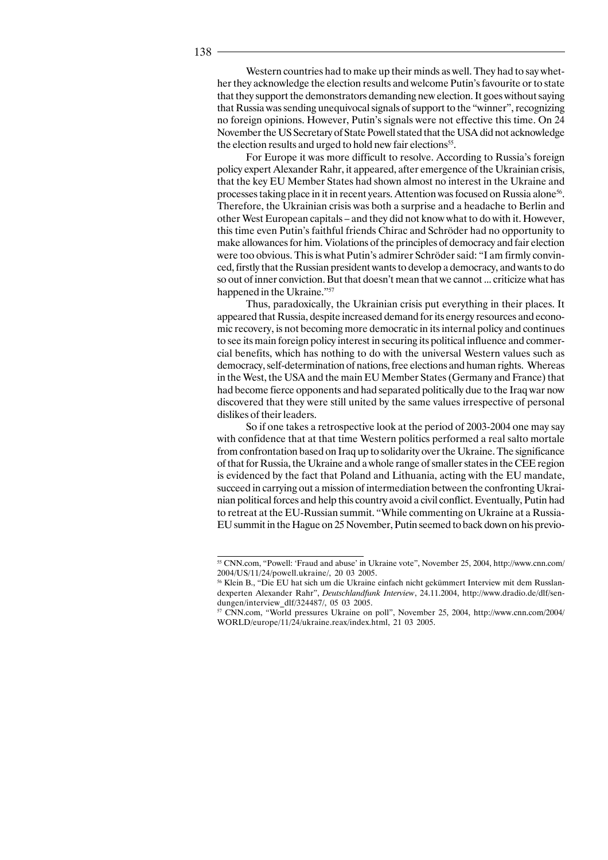Western countries had to make up their minds as well. They had to say whether they acknowledge the election results and welcome Putin's favourite or to state that they support the demonstrators demanding new election. It goes without saying that Russia was sending unequivocal signals of support to the "winner", recognizing no foreign opinions. However, Putin's signals were not effective this time. On 24 November the US Secretary of State Powell stated that the USA did not acknowledge the election results and urged to hold new fair elections<sup>55</sup>.

For Europe it was more difficult to resolve. According to Russia's foreign policy expert Alexander Rahr, it appeared, after emergence of the Ukrainian crisis, that the key EU Member States had shown almost no interest in the Ukraine and processes taking place in it in recent years. Attention was focused on Russia alone<sup>56</sup>. Therefore, the Ukrainian crisis was both a surprise and a headache to Berlin and other West European capitals – and they did not know what to do with it. However, this time even Putin's faithful friends Chirac and Schröder had no opportunity to make allowances for him. Violations of the principles of democracy and fair election were too obvious. This is what Putin's admirer Schröder said: "I am firmly convinced, firstly that the Russian president wants to develop a democracy, and wants to do so out of inner conviction. But that doesn't mean that we cannot ... criticize what has happened in the Ukraine."57

Thus, paradoxically, the Ukrainian crisis put everything in their places. It appeared that Russia, despite increased demand for its energy resources and economic recovery, is not becoming more democratic in its internal policy and continues to see its main foreign policy interest in securing its political influence and commercial benefits, which has nothing to do with the universal Western values such as democracy, self-determination of nations, free elections and human rights. Whereas in the West, the USA and the main EU Member States (Germany and France) that had become fierce opponents and had separated politically due to the Iraq war now discovered that they were still united by the same values irrespective of personal dislikes of their leaders.

So if one takes a retrospective look at the period of 2003-2004 one may say with confidence that at that time Western politics performed a real salto mortale from confrontation based on Iraq up to solidarity over the Ukraine. The significance of that for Russia, the Ukraine and a whole range of smaller states in the CEE region is evidenced by the fact that Poland and Lithuania, acting with the EU mandate, succeed in carrying out a mission of intermediation between the confronting Ukrainian political forces and help this country avoid a civil conflict. Eventually, Putin had to retreat at the EU-Russian summit. "While commenting on Ukraine at a Russia-EU summit in the Hague on 25 November, Putin seemed to back down on his previo-

<sup>&</sup>lt;sup>55</sup> CNN.com, "Powell: 'Fraud and abuse' in Ukraine vote", November 25, 2004, http://www.cnn.com/ 2004/US/11/24/powell.ukraine/, 20 03 2005.

<sup>56</sup> Klein B., "Die EU hat sich um die Ukraine einfach nicht gekümmert Interview mit dem Russlandexperten Alexander Rahr", *Deutschlandfunk Interview*, 24.11.2004, http://www.dradio.de/dlf/sendungen/interview\_dlf/324487/, 05 03 2005.

<sup>57</sup> CNN.com, "World pressures Ukraine on poll", November 25, 2004, http://www.cnn.com/2004/ WORLD/europe/11/24/ukraine.reax/index.html, 21 03 2005.